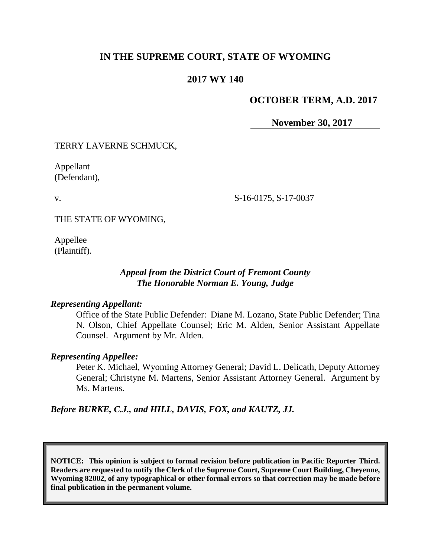# **IN THE SUPREME COURT, STATE OF WYOMING**

## **2017 WY 140**

## **OCTOBER TERM, A.D. 2017**

**November 30, 2017**

S-16-0175, S-17-0037

TERRY LAVERNE SCHMUCK,

THE STATE OF WYOMING,

Appellant (Defendant),

v.

Appellee (Plaintiff).

### *Appeal from the District Court of Fremont County The Honorable Norman E. Young, Judge*

### *Representing Appellant:*

Office of the State Public Defender: Diane M. Lozano, State Public Defender; Tina N. Olson, Chief Appellate Counsel; Eric M. Alden, Senior Assistant Appellate Counsel. Argument by Mr. Alden.

### *Representing Appellee:*

Peter K. Michael, Wyoming Attorney General; David L. Delicath, Deputy Attorney General; Christyne M. Martens, Senior Assistant Attorney General. Argument by Ms. Martens.

*Before BURKE, C.J., and HILL, DAVIS, FOX, and KAUTZ, JJ.*

**NOTICE: This opinion is subject to formal revision before publication in Pacific Reporter Third. Readers are requested to notify the Clerk of the Supreme Court, Supreme Court Building, Cheyenne, Wyoming 82002, of any typographical or other formal errors so that correction may be made before final publication in the permanent volume.**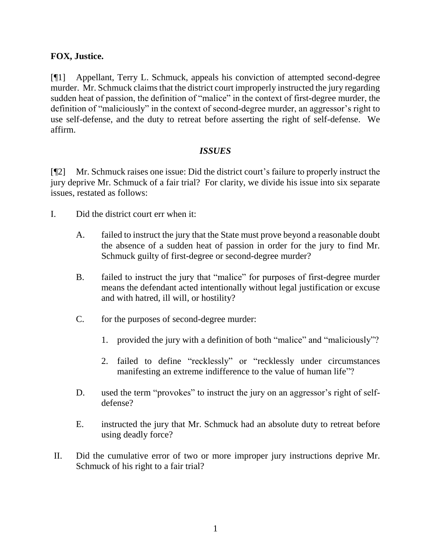# **FOX, Justice.**

[¶1] Appellant, Terry L. Schmuck, appeals his conviction of attempted second-degree murder. Mr. Schmuck claims that the district court improperly instructed the jury regarding sudden heat of passion, the definition of "malice" in the context of first-degree murder, the definition of "maliciously" in the context of second-degree murder, an aggressor's right to use self-defense, and the duty to retreat before asserting the right of self-defense. We affirm.

## *ISSUES*

[¶2] Mr. Schmuck raises one issue: Did the district court's failure to properly instruct the jury deprive Mr. Schmuck of a fair trial? For clarity, we divide his issue into six separate issues, restated as follows:

- I. Did the district court err when it:
	- A. failed to instruct the jury that the State must prove beyond a reasonable doubt the absence of a sudden heat of passion in order for the jury to find Mr. Schmuck guilty of first-degree or second-degree murder?
	- B. failed to instruct the jury that "malice" for purposes of first-degree murder means the defendant acted intentionally without legal justification or excuse and with hatred, ill will, or hostility?
	- C. for the purposes of second-degree murder:
		- 1. provided the jury with a definition of both "malice" and "maliciously"?
		- 2. failed to define "recklessly" or "recklessly under circumstances manifesting an extreme indifference to the value of human life"?
	- D. used the term "provokes" to instruct the jury on an aggressor's right of selfdefense?
	- E. instructed the jury that Mr. Schmuck had an absolute duty to retreat before using deadly force?
- II. Did the cumulative error of two or more improper jury instructions deprive Mr. Schmuck of his right to a fair trial?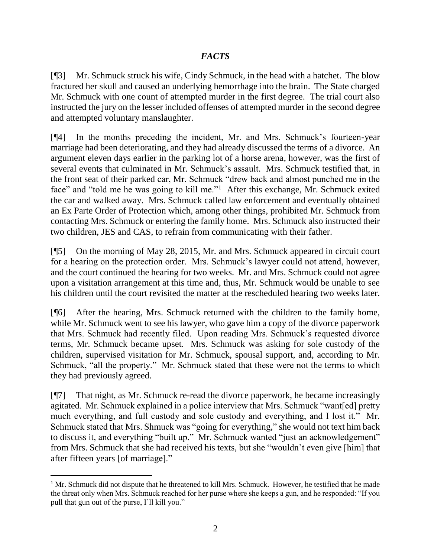# *FACTS*

[¶3] Mr. Schmuck struck his wife, Cindy Schmuck, in the head with a hatchet. The blow fractured her skull and caused an underlying hemorrhage into the brain. The State charged Mr. Schmuck with one count of attempted murder in the first degree. The trial court also instructed the jury on the lesser included offenses of attempted murder in the second degree and attempted voluntary manslaughter.

[¶4] In the months preceding the incident, Mr. and Mrs. Schmuck's fourteen-year marriage had been deteriorating, and they had already discussed the terms of a divorce. An argument eleven days earlier in the parking lot of a horse arena, however, was the first of several events that culminated in Mr. Schmuck's assault. Mrs. Schmuck testified that, in the front seat of their parked car, Mr. Schmuck "drew back and almost punched me in the face" and "told me he was going to kill me."<sup>1</sup> After this exchange, Mr. Schmuck exited the car and walked away. Mrs. Schmuck called law enforcement and eventually obtained an Ex Parte Order of Protection which, among other things, prohibited Mr. Schmuck from contacting Mrs. Schmuck or entering the family home. Mrs. Schmuck also instructed their two children, JES and CAS, to refrain from communicating with their father.

[¶5] On the morning of May 28, 2015, Mr. and Mrs. Schmuck appeared in circuit court for a hearing on the protection order. Mrs. Schmuck's lawyer could not attend, however, and the court continued the hearing for two weeks. Mr. and Mrs. Schmuck could not agree upon a visitation arrangement at this time and, thus, Mr. Schmuck would be unable to see his children until the court revisited the matter at the rescheduled hearing two weeks later.

[¶6] After the hearing, Mrs. Schmuck returned with the children to the family home, while Mr. Schmuck went to see his lawyer, who gave him a copy of the divorce paperwork that Mrs. Schmuck had recently filed. Upon reading Mrs. Schmuck's requested divorce terms, Mr. Schmuck became upset. Mrs. Schmuck was asking for sole custody of the children, supervised visitation for Mr. Schmuck, spousal support, and, according to Mr. Schmuck, "all the property." Mr. Schmuck stated that these were not the terms to which they had previously agreed.

[¶7] That night, as Mr. Schmuck re-read the divorce paperwork, he became increasingly agitated. Mr. Schmuck explained in a police interview that Mrs. Schmuck "want[ed] pretty much everything, and full custody and sole custody and everything, and I lost it." Mr. Schmuck stated that Mrs. Shmuck was "going for everything," she would not text him back to discuss it, and everything "built up." Mr. Schmuck wanted "just an acknowledgement" from Mrs. Schmuck that she had received his texts, but she "wouldn't even give [him] that after fifteen years [of marriage]."

  $1$  Mr. Schmuck did not dispute that he threatened to kill Mrs. Schmuck. However, he testified that he made the threat only when Mrs. Schmuck reached for her purse where she keeps a gun, and he responded: "If you pull that gun out of the purse, I'll kill you."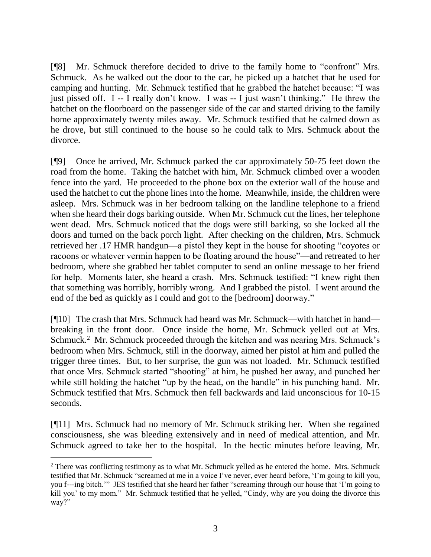[¶8] Mr. Schmuck therefore decided to drive to the family home to "confront" Mrs. Schmuck. As he walked out the door to the car, he picked up a hatchet that he used for camping and hunting. Mr. Schmuck testified that he grabbed the hatchet because: "I was just pissed off. I -- I really don't know. I was -- I just wasn't thinking." He threw the hatchet on the floorboard on the passenger side of the car and started driving to the family home approximately twenty miles away. Mr. Schmuck testified that he calmed down as he drove, but still continued to the house so he could talk to Mrs. Schmuck about the divorce.

[¶9] Once he arrived, Mr. Schmuck parked the car approximately 50-75 feet down the road from the home. Taking the hatchet with him, Mr. Schmuck climbed over a wooden fence into the yard. He proceeded to the phone box on the exterior wall of the house and used the hatchet to cut the phone lines into the home. Meanwhile, inside, the children were asleep. Mrs. Schmuck was in her bedroom talking on the landline telephone to a friend when she heard their dogs barking outside. When Mr. Schmuck cut the lines, her telephone went dead. Mrs. Schmuck noticed that the dogs were still barking, so she locked all the doors and turned on the back porch light. After checking on the children, Mrs. Schmuck retrieved her .17 HMR handgun—a pistol they kept in the house for shooting "coyotes or racoons or whatever vermin happen to be floating around the house"—and retreated to her bedroom, where she grabbed her tablet computer to send an online message to her friend for help. Moments later, she heard a crash. Mrs. Schmuck testified: "I knew right then that something was horribly, horribly wrong. And I grabbed the pistol. I went around the end of the bed as quickly as I could and got to the [bedroom] doorway."

[¶10] The crash that Mrs. Schmuck had heard was Mr. Schmuck—with hatchet in hand breaking in the front door. Once inside the home, Mr. Schmuck yelled out at Mrs. Schmuck.<sup>2</sup> Mr. Schmuck proceeded through the kitchen and was nearing Mrs. Schmuck's bedroom when Mrs. Schmuck, still in the doorway, aimed her pistol at him and pulled the trigger three times. But, to her surprise, the gun was not loaded. Mr. Schmuck testified that once Mrs. Schmuck started "shooting" at him, he pushed her away, and punched her while still holding the hatchet "up by the head, on the handle" in his punching hand. Mr. Schmuck testified that Mrs. Schmuck then fell backwards and laid unconscious for 10-15 seconds.

[¶11] Mrs. Schmuck had no memory of Mr. Schmuck striking her. When she regained consciousness, she was bleeding extensively and in need of medical attention, and Mr. Schmuck agreed to take her to the hospital. In the hectic minutes before leaving, Mr.

<sup>&</sup>lt;sup>2</sup> There was conflicting testimony as to what Mr. Schmuck yelled as he entered the home. Mrs. Schmuck testified that Mr. Schmuck "screamed at me in a voice I've never, ever heard before, 'I'm going to kill you, you f---ing bitch.'" JES testified that she heard her father "screaming through our house that 'I'm going to kill you' to my mom." Mr. Schmuck testified that he yelled, "Cindy, why are you doing the divorce this way?"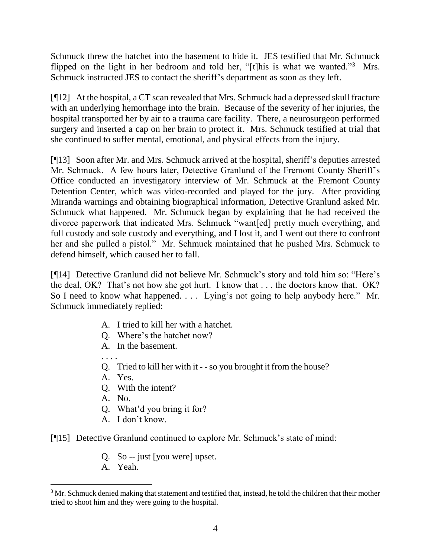Schmuck threw the hatchet into the basement to hide it. JES testified that Mr. Schmuck flipped on the light in her bedroom and told her, "[t]his is what we wanted."<sup>3</sup> Mrs. Schmuck instructed JES to contact the sheriff's department as soon as they left.

[¶12] At the hospital, a CT scan revealed that Mrs. Schmuck had a depressed skull fracture with an underlying hemorrhage into the brain. Because of the severity of her injuries, the hospital transported her by air to a trauma care facility. There, a neurosurgeon performed surgery and inserted a cap on her brain to protect it. Mrs. Schmuck testified at trial that she continued to suffer mental, emotional, and physical effects from the injury.

[¶13] Soon after Mr. and Mrs. Schmuck arrived at the hospital, sheriff's deputies arrested Mr. Schmuck. A few hours later, Detective Granlund of the Fremont County Sheriff's Office conducted an investigatory interview of Mr. Schmuck at the Fremont County Detention Center, which was video-recorded and played for the jury. After providing Miranda warnings and obtaining biographical information, Detective Granlund asked Mr. Schmuck what happened. Mr. Schmuck began by explaining that he had received the divorce paperwork that indicated Mrs. Schmuck "want[ed] pretty much everything, and full custody and sole custody and everything, and I lost it, and I went out there to confront her and she pulled a pistol." Mr. Schmuck maintained that he pushed Mrs. Schmuck to defend himself, which caused her to fall.

[¶14] Detective Granlund did not believe Mr. Schmuck's story and told him so: "Here's the deal, OK? That's not how she got hurt. I know that . . . the doctors know that. OK? So I need to know what happened. . . . Lying's not going to help anybody here." Mr. Schmuck immediately replied:

- A. I tried to kill her with a hatchet.
- Q. Where's the hatchet now?
- A. In the basement.
- Q. Tried to kill her with it -so you brought it from the house?
- A. Yes.

. . . .

- Q. With the intent?
- A. No.
- Q. What'd you bring it for?
- A. I don't know.
- [¶15] Detective Granlund continued to explore Mr. Schmuck's state of mind:
	- Q. So -- just [you were] upset.
	- A. Yeah.

<sup>&</sup>lt;sup>3</sup> Mr. Schmuck denied making that statement and testified that, instead, he told the children that their mother tried to shoot him and they were going to the hospital.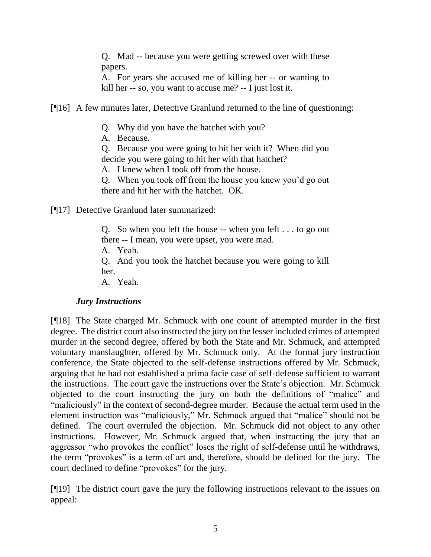Q. Mad -- because you were getting screwed over with these papers. A. For years she accused me of killing her -- or wanting to kill her -- so, you want to accuse me? -- I just lost it.

[¶16] A few minutes later, Detective Granlund returned to the line of questioning:

- Q. Why did you have the hatchet with you?
- A. Because.

Q. Because you were going to hit her with it? When did you decide you were going to hit her with that hatchet?

A. I knew when I took off from the house.

Q. When you took off from the house you knew you'd go out there and hit her with the hatchet. OK.

[¶17] Detective Granlund later summarized:

Q. So when you left the house -- when you left . . . to go out there -- I mean, you were upset, you were mad.

A. Yeah.

Q. And you took the hatchet because you were going to kill her.

A. Yeah.

# *Jury Instructions*

[¶18] The State charged Mr. Schmuck with one count of attempted murder in the first degree. The district court also instructed the jury on the lesser included crimes of attempted murder in the second degree, offered by both the State and Mr. Schmuck, and attempted voluntary manslaughter, offered by Mr. Schmuck only. At the formal jury instruction conference, the State objected to the self-defense instructions offered by Mr. Schmuck, arguing that he had not established a prima facie case of self-defense sufficient to warrant the instructions. The court gave the instructions over the State's objection. Mr. Schmuck objected to the court instructing the jury on both the definitions of "malice" and "maliciously" in the context of second-degree murder. Because the actual term used in the element instruction was "maliciously," Mr. Schmuck argued that "malice" should not be defined. The court overruled the objection. Mr. Schmuck did not object to any other instructions. However, Mr. Schmuck argued that, when instructing the jury that an aggressor "who provokes the conflict" loses the right of self-defense until he withdraws, the term "provokes" is a term of art and, therefore, should be defined for the jury. The court declined to define "provokes" for the jury.

[¶19] The district court gave the jury the following instructions relevant to the issues on appeal: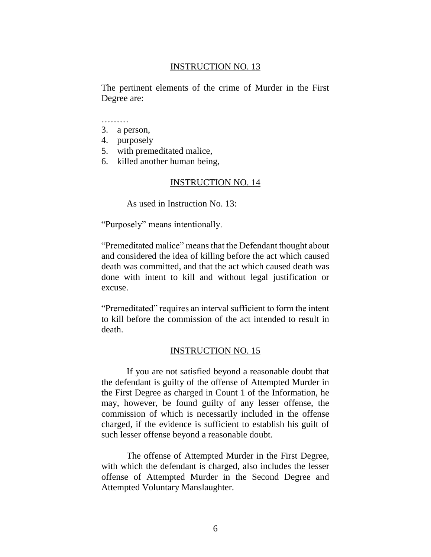### INSTRUCTION NO. 13

The pertinent elements of the crime of Murder in the First Degree are:

………

- 3. a person,
- 4. purposely
- 5. with premeditated malice,
- 6. killed another human being,

#### INSTRUCTION NO. 14

As used in Instruction No. 13:

"Purposely" means intentionally.

"Premeditated malice" means that the Defendant thought about and considered the idea of killing before the act which caused death was committed, and that the act which caused death was done with intent to kill and without legal justification or excuse.

"Premeditated" requires an interval sufficient to form the intent to kill before the commission of the act intended to result in death.

#### INSTRUCTION NO. 15

If you are not satisfied beyond a reasonable doubt that the defendant is guilty of the offense of Attempted Murder in the First Degree as charged in Count 1 of the Information, he may, however, be found guilty of any lesser offense, the commission of which is necessarily included in the offense charged, if the evidence is sufficient to establish his guilt of such lesser offense beyond a reasonable doubt.

The offense of Attempted Murder in the First Degree, with which the defendant is charged, also includes the lesser offense of Attempted Murder in the Second Degree and Attempted Voluntary Manslaughter.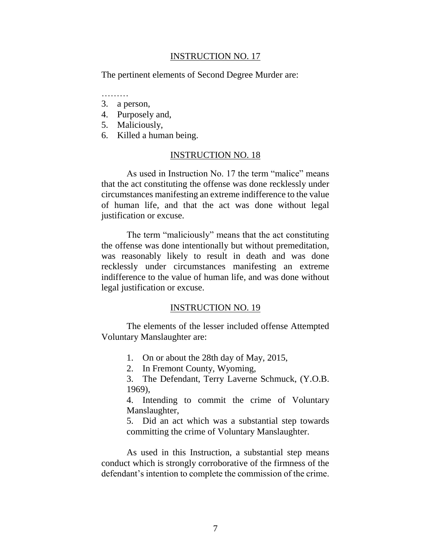### INSTRUCTION NO. 17

The pertinent elements of Second Degree Murder are:

#### ………

- 3. a person,
- 4. Purposely and,
- 5. Maliciously,
- 6. Killed a human being.

#### INSTRUCTION NO. 18

As used in Instruction No. 17 the term "malice" means that the act constituting the offense was done recklessly under circumstances manifesting an extreme indifference to the value of human life, and that the act was done without legal justification or excuse.

The term "maliciously" means that the act constituting the offense was done intentionally but without premeditation, was reasonably likely to result in death and was done recklessly under circumstances manifesting an extreme indifference to the value of human life, and was done without legal justification or excuse.

#### INSTRUCTION NO. 19

The elements of the lesser included offense Attempted Voluntary Manslaughter are:

- 1. On or about the 28th day of May, 2015,
- 2. In Fremont County, Wyoming,

3. The Defendant, Terry Laverne Schmuck, (Y.O.B. 1969),

4. Intending to commit the crime of Voluntary Manslaughter,

5. Did an act which was a substantial step towards committing the crime of Voluntary Manslaughter.

As used in this Instruction, a substantial step means conduct which is strongly corroborative of the firmness of the defendant's intention to complete the commission of the crime.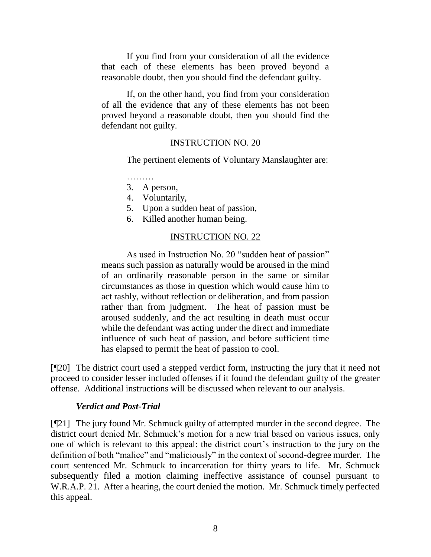If you find from your consideration of all the evidence that each of these elements has been proved beyond a reasonable doubt, then you should find the defendant guilty.

If, on the other hand, you find from your consideration of all the evidence that any of these elements has not been proved beyond a reasonable doubt, then you should find the defendant not guilty.

### INSTRUCTION NO. 20

The pertinent elements of Voluntary Manslaughter are:

- ………
- 3. A person,
- 4. Voluntarily,
- 5. Upon a sudden heat of passion,
- 6. Killed another human being.

### INSTRUCTION NO. 22

As used in Instruction No. 20 "sudden heat of passion" means such passion as naturally would be aroused in the mind of an ordinarily reasonable person in the same or similar circumstances as those in question which would cause him to act rashly, without reflection or deliberation, and from passion rather than from judgment. The heat of passion must be aroused suddenly, and the act resulting in death must occur while the defendant was acting under the direct and immediate influence of such heat of passion, and before sufficient time has elapsed to permit the heat of passion to cool.

[¶20] The district court used a stepped verdict form, instructing the jury that it need not proceed to consider lesser included offenses if it found the defendant guilty of the greater offense. Additional instructions will be discussed when relevant to our analysis.

### *Verdict and Post-Trial*

[¶21] The jury found Mr. Schmuck guilty of attempted murder in the second degree. The district court denied Mr. Schmuck's motion for a new trial based on various issues, only one of which is relevant to this appeal: the district court's instruction to the jury on the definition of both "malice" and "maliciously" in the context of second-degree murder. The court sentenced Mr. Schmuck to incarceration for thirty years to life. Mr. Schmuck subsequently filed a motion claiming ineffective assistance of counsel pursuant to W.R.A.P. 21. After a hearing, the court denied the motion. Mr. Schmuck timely perfected this appeal.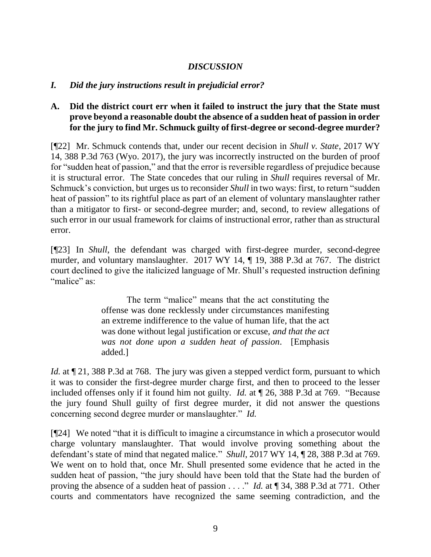# *DISCUSSION*

## *I. Did the jury instructions result in prejudicial error?*

# **A. Did the district court err when it failed to instruct the jury that the State must prove beyond a reasonable doubt the absence of a sudden heat of passion in order for the jury to find Mr. Schmuck guilty of first-degree or second-degree murder?**

[¶22] Mr. Schmuck contends that, under our recent decision in *Shull v. State*, 2017 WY 14, 388 P.3d 763 (Wyo. 2017), the jury was incorrectly instructed on the burden of proof for "sudden heat of passion," and that the error is reversible regardless of prejudice because it is structural error. The State concedes that our ruling in *Shull* requires reversal of Mr. Schmuck's conviction, but urges us to reconsider *Shull* in two ways: first, to return "sudden heat of passion" to its rightful place as part of an element of voluntary manslaughter rather than a mitigator to first- or second-degree murder; and, second, to review allegations of such error in our usual framework for claims of instructional error, rather than as structural error.

[¶23] In *Shull*, the defendant was charged with first-degree murder, second-degree murder, and voluntary manslaughter. 2017 WY 14, ¶ 19, 388 P.3d at 767. The district court declined to give the italicized language of Mr. Shull's requested instruction defining "malice" as:

> The term "malice" means that the act constituting the offense was done recklessly under circumstances manifesting an extreme indifference to the value of human life, that the act was done without legal justification or excuse, *and that the act was not done upon a sudden heat of passion*. [Emphasis added.]

*Id.* at  $\P$  21, 388 P.3d at 768. The jury was given a stepped verdict form, pursuant to which it was to consider the first-degree murder charge first, and then to proceed to the lesser included offenses only if it found him not guilty. *Id.* at ¶ 26, 388 P.3d at 769. "Because the jury found Shull guilty of first degree murder, it did not answer the questions concerning second degree murder or manslaughter." *Id.*

[¶24] We noted "that it is difficult to imagine a circumstance in which a prosecutor would charge voluntary manslaughter. That would involve proving something about the defendant's state of mind that negated malice." *Shull*, 2017 WY 14, ¶ 28, 388 P.3d at 769. We went on to hold that, once Mr. Shull presented some evidence that he acted in the sudden heat of passion, "the jury should have been told that the State had the burden of proving the absence of a sudden heat of passion . . . ." *Id.* at ¶ 34, 388 P.3d at 771. Other courts and commentators have recognized the same seeming contradiction, and the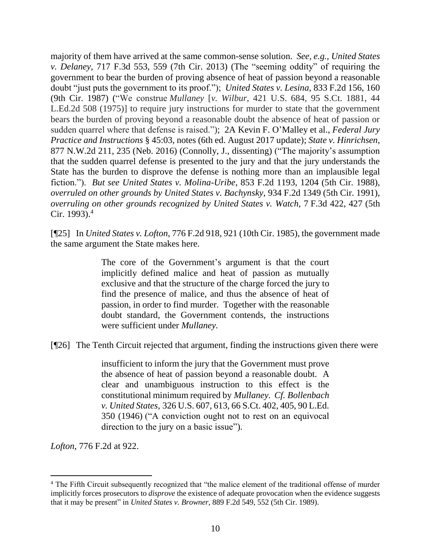majority of them have arrived at the same common-sense solution. *See, e.g., United States v. Delaney*, 717 F.3d 553, 559 (7th Cir. 2013) (The "seeming oddity" of requiring the government to bear the burden of proving absence of heat of passion beyond a reasonable doubt "just puts the government to its proof."); *United States v. Lesina*, [833 F.2d 156, 160](https://1.next.westlaw.com/Link/Document/FullText?findType=Y&serNum=1987146194&pubNum=0000350&originatingDoc=I7a05a8d0cc1c11e581b4a1a364f337cb&refType=RP&fi=co_pp_sp_350_160&originationContext=document&transitionType=DocumentItem&contextData=(sc.UserEnteredCitation)#co_pp_sp_350_160)  [\(9th Cir.](https://1.next.westlaw.com/Link/Document/FullText?findType=Y&serNum=1987146194&pubNum=0000350&originatingDoc=I7a05a8d0cc1c11e581b4a1a364f337cb&refType=RP&fi=co_pp_sp_350_160&originationContext=document&transitionType=DocumentItem&contextData=(sc.UserEnteredCitation)#co_pp_sp_350_160) 1987) ("We construe *Mullaney* [*v. Wilbur*, 421 U.S. 684, 95 S.Ct. 1881, 44 L.Ed.2d 508 (1975)] to require jury instructions for murder to state that the government bears the burden of proving beyond a reasonable doubt the absence of heat of passion or sudden quarrel where that defense is raised."); [2A Kevin F. O'Malley et al.,](https://1.next.westlaw.com/Link/Document/FullText?findType=Y&serNum=0284725018&pubNum=0102209&originatingDoc=I7a05a8d0cc1c11e581b4a1a364f337cb&refType=TS&originationContext=document&transitionType=DocumentItem&contextData=(sc.UserEnteredCitation)) *Federal Jury [Practice and Instructions](https://1.next.westlaw.com/Link/Document/FullText?findType=Y&serNum=0284725018&pubNum=0102209&originatingDoc=I7a05a8d0cc1c11e581b4a1a364f337cb&refType=TS&originationContext=document&transitionType=DocumentItem&contextData=(sc.UserEnteredCitation))* § 45:03, notes (6th ed. August 2017 update); *State v. Hinrichsen*, 877 N.W.2d 211, 235 (Neb. 2016) (Connolly, J., dissenting) ("The majority's assumption that the sudden quarrel defense is presented to the jury and that the jury understands the State has the burden to disprove the defense is nothing more than an implausible legal fiction."). *But see United States v. Molina-Uribe*, 853 F.2d 1193, 1204 (5th Cir. 1988), *overruled on other grounds by United States v. Bachynsky*, 934 F.2d 1349 (5th Cir. 1991), *overruling on other grounds recognized by United States v. Watch*, 7 F.3d 422, 427 (5th Cir. 1993). 4

[¶25] In *United States v. Lofton*, 776 F.2d 918, 921 (10th Cir. 1985), the government made the same argument the State makes here.

> The core of the Government's argument is that the court implicitly defined malice and heat of passion as mutually exclusive and that the structure of the charge forced the jury to find the presence of malice, and thus the absence of heat of passion, in order to find murder. Together with the reasonable doubt standard, the Government contends, the instructions were sufficient under *Mullaney.*

[¶26] The Tenth Circuit rejected that argument, finding the instructions given there were

insufficient to inform the jury that the Government must prove the absence of heat of passion beyond a reasonable doubt. A clear and unambiguous instruction to this effect is the constitutional minimum required by *Mullaney. Cf. [Bollenbach](https://1.next.westlaw.com/Link/Document/FullText?findType=Y&serNum=1946112852&pubNum=708&originatingDoc=I554723d494b411d9bdd1cfdd544ca3a4&refType=RP&fi=co_pp_sp_708_405&originationContext=document&transitionType=DocumentItem&contextData=(sc.UserEnteredCitation)#co_pp_sp_708_405)  v. United States*, [326 U.S. 607, 613, 66 S.Ct. 402, 405, 90 L.Ed.](https://1.next.westlaw.com/Link/Document/FullText?findType=Y&serNum=1946112852&pubNum=708&originatingDoc=I554723d494b411d9bdd1cfdd544ca3a4&refType=RP&fi=co_pp_sp_708_405&originationContext=document&transitionType=DocumentItem&contextData=(sc.UserEnteredCitation)#co_pp_sp_708_405)  [350 \(1946\)](https://1.next.westlaw.com/Link/Document/FullText?findType=Y&serNum=1946112852&pubNum=708&originatingDoc=I554723d494b411d9bdd1cfdd544ca3a4&refType=RP&fi=co_pp_sp_708_405&originationContext=document&transitionType=DocumentItem&contextData=(sc.UserEnteredCitation)#co_pp_sp_708_405) ("A conviction ought not to rest on an equivocal direction to the jury on a basic issue").

*Lofton*, 776 F.2d at 922.

<sup>&</sup>lt;sup>4</sup> The Fifth Circuit subsequently recognized that "the malice element of the traditional offense of murder implicitly forces prosecutors to *disprove* the existence of adequate provocation when the evidence suggests that it may be present" in *United States v. Browner*, 889 F.2d 549, 552 (5th Cir. 1989).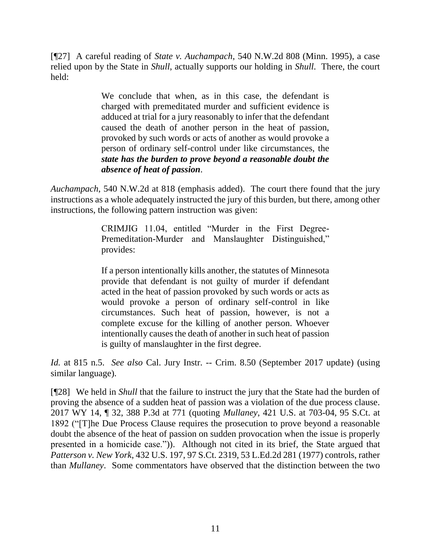[¶27] A careful reading of *State v. Auchampach*, 540 N.W.2d 808 (Minn. 1995), a case relied upon by the State in *Shull*, actually supports our holding in *Shull*. There, the court held:

> We conclude that when, as in this case, the defendant is charged with premeditated murder and sufficient evidence is adduced at trial for a jury reasonably to infer that the defendant caused the death of another person in the heat of passion, provoked by such words or acts of another as would provoke a person of ordinary self-control under like circumstances, the *state has the burden to prove beyond a reasonable doubt the absence of heat of passion*.

*Auchampach*, 540 N.W.2d at 818 (emphasis added). The court there found that the jury instructions as a whole adequately instructed the jury of this burden, but there, among other instructions, the following pattern instruction was given:

> CRIMJIG 11.04, entitled "Murder in the First Degree-Premeditation-Murder and Manslaughter Distinguished," provides:

> If a person intentionally kills another, the statutes of Minnesota provide that defendant is not guilty of murder if defendant acted in the heat of passion provoked by such words or acts as would provoke a person of ordinary self-control in like circumstances. Such heat of passion, however, is not a complete excuse for the killing of another person. Whoever intentionally causes the death of another in such heat of passion is guilty of manslaughter in the first degree.

*Id.* at 815 n.5. *See also* Cal. Jury Instr. -- Crim. 8.50 (September 2017 update) (using similar language).

[¶28] We held in *Shull* that the failure to instruct the jury that the State had the burden of proving the absence of a sudden heat of passion was a violation of the due process clause. 2017 WY 14, ¶ 32, 388 P.3d at 771 (quoting *Mullaney*, 421 U.S. at 703-04, 95 S.Ct. at 1892 ("[T]he Due Process Clause requires the prosecution to prove beyond a reasonable doubt the absence of the heat of passion on sudden provocation when the issue is properly presented in a homicide case.")). Although not cited in its brief, the State argued that *Patterson v. New York*, 432 U.S. 197, 97 S.Ct. 2319, 53 L.Ed.2d 281 (1977) controls, rather than *Mullaney*. Some commentators have observed that the distinction between the two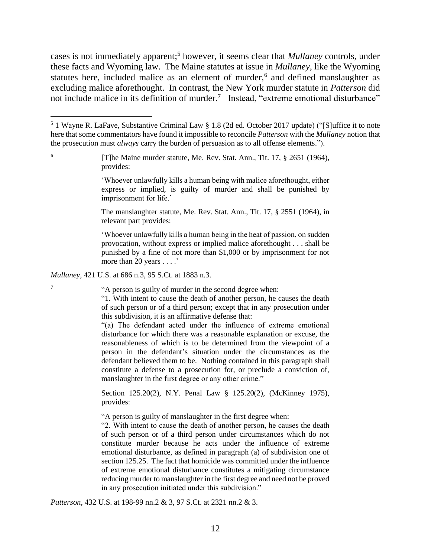cases is not immediately apparent; <sup>5</sup> however, it seems clear that *Mullaney* controls, under these facts and Wyoming law. The Maine statutes at issue in *Mullaney*, like the Wyoming statutes here, included malice as an element of murder,<sup>6</sup> and defined manslaughter as excluding malice aforethought. In contrast, the New York murder statute in *Patterson* did not include malice in its definition of murder.<sup>7</sup> Instead, "extreme emotional disturbance"

 [T]he Maine murder statute, Me. Rev. Stat. Ann., Tit. 17, § 2651 (1964), provides:

'Whoever unlawfully kills a human being with malice aforethought, either express or implied, is guilty of murder and shall be punished by imprisonment for life.'

The manslaughter statute, Me. Rev. Stat. Ann., Tit. 17, § 2551 (1964), in relevant part provides:

'Whoever unlawfully kills a human being in the heat of passion, on sudden provocation, without express or implied malice aforethought . . . shall be punished by a fine of not more than \$1,000 or by imprisonment for not more than 20 years . . . .'

*Mullaney*, 421 U.S. at 686 n.3, 95 S.Ct. at 1883 n.3.

6

7

"A person is guilty of murder in the second degree when:

"1. With intent to cause the death of another person, he causes the death of such person or of a third person; except that in any prosecution under this subdivision, it is an affirmative defense that:

"(a) The defendant acted under the influence of extreme emotional disturbance for which there was a reasonable explanation or excuse, the reasonableness of which is to be determined from the viewpoint of a person in the defendant's situation under the circumstances as the defendant believed them to be. Nothing contained in this paragraph shall constitute a defense to a prosecution for, or preclude a conviction of, manslaughter in the first degree or any other crime."

Section 125.20(2), N.Y. Penal Law § 125.20(2), (McKinney 1975), provides:

"A person is guilty of manslaughter in the first degree when:

"2. With intent to cause the death of another person, he causes the death of such person or of a third person under circumstances which do not constitute murder because he acts under the influence of extreme emotional disturbance, as defined in paragraph (a) of subdivision one of section 125.25. The fact that homicide was committed under the influence of extreme emotional disturbance constitutes a mitigating circumstance reducing murder to manslaughter in the first degree and need not be proved in any prosecution initiated under this subdivision."

*Patterson*, 432 U.S. at 198-99 nn.2 & 3, 97 S.Ct. at 2321 nn.2 & 3.

<sup>5</sup> 1 Wayne R. LaFave, Substantive Criminal Law § 1.8 (2d ed. October 2017 update) ("[S]uffice it to note here that some commentators have found it impossible to reconcile *Patterson* with the *Mullaney* notion that the prosecution must *always* carry the burden of persuasion as to all offense elements.").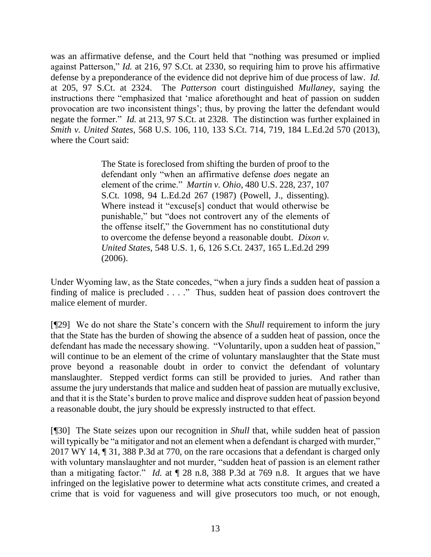was an affirmative defense, and the Court held that "nothing was presumed or implied against Patterson," *Id.* at 216, 97 S.Ct. at 2330, so requiring him to prove his affirmative defense by a preponderance of the evidence did not deprive him of due process of law. *Id.* at 205, 97 S.Ct. at 2324. The *Patterson* court distinguished *Mullaney*, saying the instructions there "emphasized that 'malice aforethought and heat of passion on sudden provocation are two inconsistent things'; thus, by proving the latter the defendant would negate the former." *Id.* at 213, 97 S.Ct. at 2328. The distinction was further explained in *Smith v. United States*, 568 U.S. 106, 110, 133 S.Ct. 714, 719, 184 L.Ed.2d 570 (2013), where the Court said:

> The State is foreclosed from shifting the burden of proof to the defendant only "when an affirmative defense *does* negate an element of the crime." *Martin v. Ohio*, 480 U.S. 228, 237, 107 S.Ct. 1098, 94 L.Ed.2d 267 (1987) (Powell, J., dissenting). Where instead it "excuse[s] conduct that would otherwise be punishable," but "does not controvert any of the elements of the offense itself," the Government has no constitutional duty to overcome the defense beyond a reasonable doubt. *Dixon v. United States*, 548 U.S. 1, 6, 126 S.Ct. 2437, 165 L.Ed.2d 299 (2006).

Under Wyoming law, as the State concedes, "when a jury finds a sudden heat of passion a finding of malice is precluded . . . ." Thus, sudden heat of passion does controvert the malice element of murder.

[¶29] We do not share the State's concern with the *Shull* requirement to inform the jury that the State has the burden of showing the absence of a sudden heat of passion, once the defendant has made the necessary showing. "Voluntarily, upon a sudden heat of passion," will continue to be an element of the crime of voluntary manslaughter that the State must prove beyond a reasonable doubt in order to convict the defendant of voluntary manslaughter. Stepped verdict forms can still be provided to juries. And rather than assume the jury understands that malice and sudden heat of passion are mutually exclusive, and that it is the State's burden to prove malice and disprove sudden heat of passion beyond a reasonable doubt, the jury should be expressly instructed to that effect.

[¶30] The State seizes upon our recognition in *Shull* that, while sudden heat of passion will typically be "a mitigator and not an element when a defendant is charged with murder," 2017 WY 14, ¶ 31, 388 P.3d at 770, on the rare occasions that a defendant is charged only with voluntary manslaughter and not murder, "sudden heat of passion is an element rather than a mitigating factor." *Id.* at ¶ 28 n.8, 388 P.3d at 769 n.8. It argues that we have infringed on the legislative power to determine what acts constitute crimes, and created a crime that is void for vagueness and will give prosecutors too much, or not enough,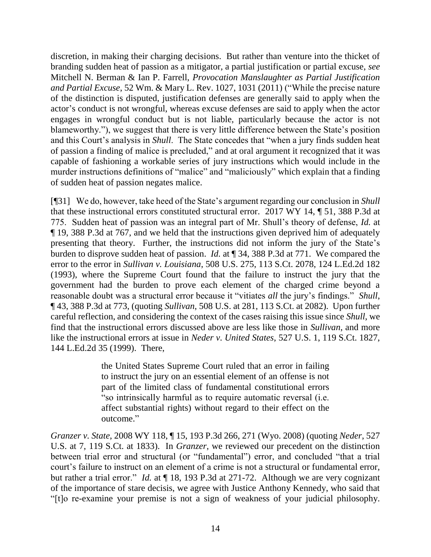discretion, in making their charging decisions. But rather than venture into the thicket of branding sudden heat of passion as a mitigator, a partial justification or partial excuse, *see* Mitchell N. Berman & Ian P. Farrell, *Provocation Manslaughter as Partial Justification and Partial Excuse*, 52 Wm. & Mary L. Rev. 1027, 1031 (2011) ("While the precise nature of the distinction is disputed, justification defenses are generally said to apply when the actor's conduct is not wrongful, whereas excuse defenses are said to apply when the actor engages in wrongful conduct but is not liable, particularly because the actor is not blameworthy."), we suggest that there is very little difference between the State's position and this Court's analysis in *Shull*. The State concedes that "when a jury finds sudden heat of passion a finding of malice is precluded," and at oral argument it recognized that it was capable of fashioning a workable series of jury instructions which would include in the murder instructions definitions of "malice" and "maliciously" which explain that a finding of sudden heat of passion negates malice.

[¶31] We do, however, take heed of the State's argument regarding our conclusion in *Shull* that these instructional errors constituted structural error. 2017 WY 14, ¶ 51, 388 P.3d at 775. Sudden heat of passion was an integral part of Mr. Shull's theory of defense, *Id.* at ¶ 19, 388 P.3d at 767, and we held that the instructions given deprived him of adequately presenting that theory. Further, the instructions did not inform the jury of the State's burden to disprove sudden heat of passion. *Id.* at ¶ 34, 388 P.3d at 771. We compared the error to the error in *Sullivan v. Louisiana*, 508 U.S. 275, 113 S.Ct. 2078, 124 L.Ed.2d 182 (1993), where the Supreme Court found that the failure to instruct the jury that the government had the burden to prove each element of the charged crime beyond a reasonable doubt was a structural error because it "vitiates *all* the jury's findings." *Shull*, ¶ 43, 388 P.3d at 773, (quoting *Sullivan*, 508 U.S. at 281, 113 S.Ct. at 2082). Upon further careful reflection, and considering the context of the cases raising this issue since *Shull*, we find that the instructional errors discussed above are less like those in *Sullivan*, and more like the instructional errors at issue in *Neder v. United States*, 527 U.S. 1, 119 S.Ct. 1827, 144 L.Ed.2d 35 (1999). There,

> the United States Supreme Court ruled that an error in failing to instruct the jury on an essential element of an offense is not part of the limited class of fundamental constitutional errors "so intrinsically harmful as to require automatic reversal (i.e. affect substantial rights) without regard to their effect on the outcome."

*Granzer v. State*, 2008 WY 118, ¶ 15, 193 P.3d 266, 271 (Wyo. 2008) (quoting *Neder*, 527 U.S. at 7, 119 S.Ct. at 1833). In *Granzer*, we reviewed our precedent on the distinction between trial error and structural (or "fundamental") error, and concluded "that a trial court's failure to instruct on an element of a crime is not a structural or fundamental error, but rather a trial error." *Id.* at  $\P$  18, 193 P.3d at 271-72. Although we are very cognizant of the importance of stare decisis, we agree with Justice Anthony Kennedy, who said that "[t]o re-examine your premise is not a sign of weakness of your judicial philosophy.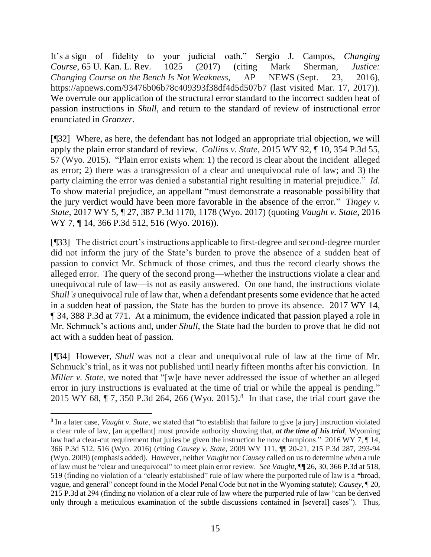It's a sign of fidelity to your judicial oath." Sergio J. Campos, *Changing Course*, 65 U. Kan. L. Rev. 1025 (2017) (citing Mark Sherman, *Justice: Changing Course on the Bench Is Not Weakness*, AP NEWS (Sept. 23, 2016), https://apnews.com/93476b06b78c409393f38df4d5d507b7 (last visited Mar. 17, 2017)). We overrule our application of the structural error standard to the incorrect sudden heat of passion instructions in *Shull*, and return to the standard of review of instructional error enunciated in *Granzer*.

[¶32] Where, as here, the defendant has not lodged an appropriate trial objection, we will apply the plain error standard of review. *Collins v. State*, 2015 WY 92, ¶ 10, 354 P.3d 55, 57 (Wyo. 2015). "Plain error exists when: 1) the record is clear about the incident alleged as error; 2) there was a transgression of a clear and unequivocal rule of law; and 3) the party claiming the error was denied a substantial right resulting in material prejudice*.*" *Id.* To show material prejudice, an appellant "must demonstrate a reasonable possibility that the jury verdict would have been more favorable in the absence of the error." *Tingey v. State*, 2017 WY 5, ¶ 27, 387 P.3d 1170, 1178 (Wyo. 2017) (quoting *Vaught v. State*, 2016 WY 7, ¶ 14, 366 P.3d 512, 516 (Wyo. 2016)).

[¶33] The district court's instructions applicable to first-degree and second-degree murder did not inform the jury of the State's burden to prove the absence of a sudden heat of passion to convict Mr. Schmuck of those crimes, and thus the record clearly shows the alleged error. The query of the second prong—whether the instructions violate a clear and unequivocal rule of law—is not as easily answered. On one hand, the instructions violate *Shull's* unequivocal rule of law that, when a defendant presents some evidence that he acted in a sudden heat of passion, the State has the burden to prove its absence. 2017 WY 14, ¶ 34, 388 P.3d at 771. At a minimum, the evidence indicated that passion played a role in Mr. Schmuck's actions and, under *Shull*, the State had the burden to prove that he did not act with a sudden heat of passion.

[¶34] However, *Shull* was not a clear and unequivocal rule of law at the time of Mr. Schmuck's trial, as it was not published until nearly fifteen months after his conviction. In *Miller v. State*, we noted that "[w]e have never addressed the issue of whether an alleged error in jury instructions is evaluated at the time of trial or while the appeal is pending." 2015 WY 68,  $\P$  7, 350 P.3d 264, 266 (Wyo. 2015).<sup>8</sup> In that case, the trial court gave the

<sup>8</sup> In a later case, *Vaught v. State*, we stated that "to establish that failure to give [a jury] instruction violated a clear rule of law, [an appellant] must provide authority showing that, *at the time of his trial*, Wyoming law had a clear-cut requirement that juries be given the instruction he now champions." 2016 WY 7,  $\P$  14, 366 P.3d 512, 516 (Wyo. 2016) (citing *Causey v. State*, 2009 WY 111, ¶¶ 20-21, 215 P.3d 287, 293-94 (Wyo. 2009) (emphasis added). However, neither *Vaught* nor *Causey* called on us to determine *when* a rule of law must be "clear and unequivocal" to meet plain error review. *See Vaught*, ¶¶ 26, 30, 366 P.3d at 518, 519 (finding no violation of a "clearly established" rule of law where the purported rule of law is a *"*broad, vague, and general" concept found in the Model Penal Code but not in the Wyoming statute); *Causey*, ¶ 20, 215 P.3d at 294 (finding no violation of a clear rule of law where the purported rule of law "can be derived only through a meticulous examination of the subtle discussions contained in [several] cases"). Thus,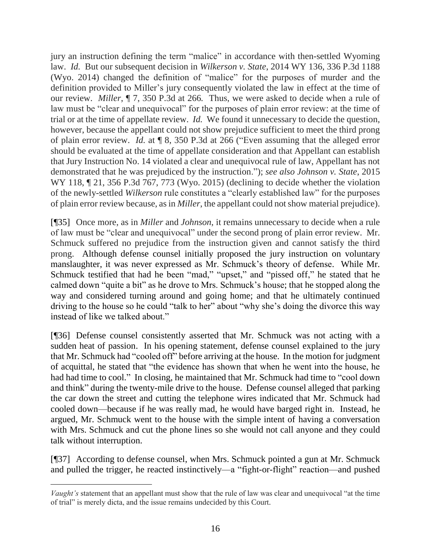jury an instruction defining the term "malice" in accordance with then-settled Wyoming law. *Id.* But our subsequent decision in *Wilkerson v. State*, 2014 WY 136, 336 P.3d 1188 (Wyo. 2014) changed the definition of "malice" for the purposes of murder and the definition provided to Miller's jury consequently violated the law in effect at the time of our review. *Miller*, ¶ 7, 350 P.3d at 266*.* Thus, we were asked to decide when a rule of law must be "clear and unequivocal" for the purposes of plain error review: at the time of trial or at the time of appellate review. *Id.* We found it unnecessary to decide the question, however, because the appellant could not show prejudice sufficient to meet the third prong of plain error review. *Id.* at ¶ 8, 350 P.3d at 266 ("Even assuming that the alleged error should be evaluated at the time of appellate consideration and that Appellant can establish that Jury Instruction No. 14 violated a clear and unequivocal rule of law, Appellant has not demonstrated that he was prejudiced by the instruction."); *see also Johnson v. State*, 2015 WY 118,  $\sqrt{21}$ , 356 P.3d 767, 773 (Wyo. 2015) (declining to decide whether the violation of the newly-settled *Wilkerson* rule constitutes a "clearly established law" for the purposes of plain error review because, as in *Miller*, the appellant could not show material prejudice).

[¶35] Once more, as in *Miller* and *Johnson*, it remains unnecessary to decide when a rule of law must be "clear and unequivocal" under the second prong of plain error review. Mr. Schmuck suffered no prejudice from the instruction given and cannot satisfy the third prong. Although defense counsel initially proposed the jury instruction on voluntary manslaughter, it was never expressed as Mr. Schmuck's theory of defense. While Mr. Schmuck testified that had he been "mad," "upset," and "pissed off," he stated that he calmed down "quite a bit" as he drove to Mrs. Schmuck's house; that he stopped along the way and considered turning around and going home; and that he ultimately continued driving to the house so he could "talk to her" about "why she's doing the divorce this way instead of like we talked about."

[¶36] Defense counsel consistently asserted that Mr. Schmuck was not acting with a sudden heat of passion. In his opening statement, defense counsel explained to the jury that Mr. Schmuck had "cooled off" before arriving at the house. In the motion for judgment of acquittal, he stated that "the evidence has shown that when he went into the house, he had had time to cool." In closing, he maintained that Mr. Schmuck had time to "cool down and think" during the twenty-mile drive to the house. Defense counsel alleged that parking the car down the street and cutting the telephone wires indicated that Mr. Schmuck had cooled down—because if he was really mad, he would have barged right in. Instead, he argued, Mr. Schmuck went to the house with the simple intent of having a conversation with Mrs. Schmuck and cut the phone lines so she would not call anyone and they could talk without interruption.

[¶37] According to defense counsel, when Mrs. Schmuck pointed a gun at Mr. Schmuck and pulled the trigger, he reacted instinctively—a "fight-or-flight" reaction—and pushed

*Vaught's* statement that an appellant must show that the rule of law was clear and unequivocal "at the time of trial" is merely dicta, and the issue remains undecided by this Court.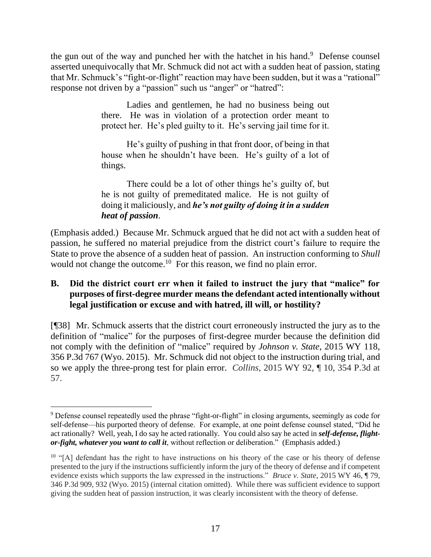the gun out of the way and punched her with the hatchet in his hand.<sup>9</sup> Defense counsel asserted unequivocally that Mr. Schmuck did not act with a sudden heat of passion, stating that Mr. Schmuck's "fight-or-flight" reaction may have been sudden, but it was a "rational" response not driven by a "passion" such us "anger" or "hatred":

> Ladies and gentlemen, he had no business being out there. He was in violation of a protection order meant to protect her. He's pled guilty to it. He's serving jail time for it.

> He's guilty of pushing in that front door, of being in that house when he shouldn't have been. He's guilty of a lot of things.

> There could be a lot of other things he's guilty of, but he is not guilty of premeditated malice. He is not guilty of doing it maliciously, and *he's not guilty of doing it in a sudden heat of passion*.

(Emphasis added.) Because Mr. Schmuck argued that he did not act with a sudden heat of passion, he suffered no material prejudice from the district court's failure to require the State to prove the absence of a sudden heat of passion. An instruction conforming to *Shull* would not change the outcome.<sup>10</sup> For this reason, we find no plain error.

# **B. Did the district court err when it failed to instruct the jury that "malice" for purposes of first-degree murder means the defendant acted intentionally without legal justification or excuse and with hatred, ill will, or hostility?**

[¶38] Mr. Schmuck asserts that the district court erroneously instructed the jury as to the definition of "malice" for the purposes of first-degree murder because the definition did not comply with the definition of "malice" required by *Johnson v. State*, 2015 WY 118, 356 P.3d 767 (Wyo. 2015). Mr. Schmuck did not object to the instruction during trial, and so we apply the three-prong test for plain error. *Collins*, 2015 WY 92, ¶ 10, 354 P.3d at 57.

<sup>&</sup>lt;sup>9</sup> Defense counsel repeatedly used the phrase "fight-or-flight" in closing arguments, seemingly as code for self-defense—his purported theory of defense. For example, at one point defense counsel stated, "Did he act rationally? Well, yeah, I do say he acted rationally. You could also say he acted in *self-defense, flightor-fight, whatever you want to call it*, without reflection or deliberation." (Emphasis added.)

 $10$  "[A] defendant has the right to have instructions on his theory of the case or his theory of defense presented to the jury if the instructions sufficiently inform the jury of the theory of defense and if competent evidence exists which supports the law expressed in the instructions." *Bruce v. State*, 2015 WY 46, ¶ 79, 346 P.3d 909, 932 (Wyo. 2015) (internal citation omitted). While there was sufficient evidence to support giving the sudden heat of passion instruction, it was clearly inconsistent with the theory of defense.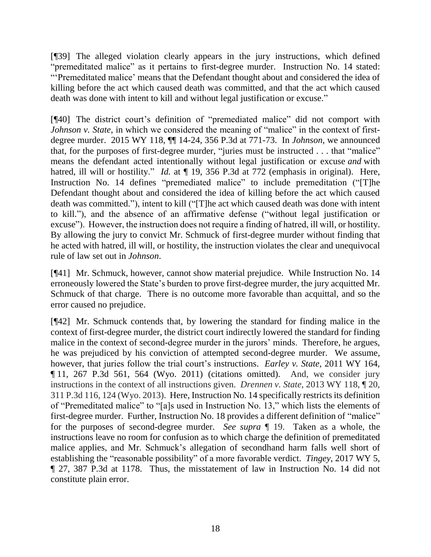[¶39] The alleged violation clearly appears in the jury instructions, which defined "premeditated malice" as it pertains to first-degree murder. Instruction No. 14 stated: "'Premeditated malice' means that the Defendant thought about and considered the idea of killing before the act which caused death was committed, and that the act which caused death was done with intent to kill and without legal justification or excuse."

[¶40] The district court's definition of "premediated malice" did not comport with *Johnson v. State*, in which we considered the meaning of "malice" in the context of firstdegree murder. 2015 WY 118, ¶¶ 14-24, 356 P.3d at 771-73. In *Johnson*, we announced that, for the purposes of first-degree murder, "juries must be instructed . . . that "malice" means the defendant acted intentionally without legal justification or excuse *and* with hatred, ill will or hostility." *Id.* at  $\P$  19, 356 P.3d at 772 (emphasis in original). Here, Instruction No. 14 defines "premediated malice" to include premeditation ("[T]he Defendant thought about and considered the idea of killing before the act which caused death was committed."), intent to kill ("[T]he act which caused death was done with intent to kill."), and the absence of an affirmative defense ("without legal justification or excuse"). However, the instruction does not require a finding of hatred, ill will, or hostility. By allowing the jury to convict Mr. Schmuck of first-degree murder without finding that he acted with hatred, ill will, or hostility, the instruction violates the clear and unequivocal rule of law set out in *Johnson*.

[¶41] Mr. Schmuck, however, cannot show material prejudice. While Instruction No. 14 erroneously lowered the State's burden to prove first-degree murder, the jury acquitted Mr. Schmuck of that charge. There is no outcome more favorable than acquittal, and so the error caused no prejudice.

[¶42] Mr. Schmuck contends that, by lowering the standard for finding malice in the context of first-degree murder, the district court indirectly lowered the standard for finding malice in the context of second-degree murder in the jurors' minds. Therefore, he argues, he was prejudiced by his conviction of attempted second-degree murder. We assume, however, that juries follow the trial court's instructions. *Earley v. State*, 2011 WY 164, ¶ 11, 267 P.3d 561, 564 (Wyo. 2011) (citations omitted). And, we consider jury instructions in the context of all instructions given. *Drennen v. State*, 2013 WY 118, ¶ 20, 311 P.3d 116, 124 (Wyo. 2013). Here, Instruction No. 14 specifically restricts its definition of "Premeditated malice" to "[a]s used in Instruction No. 13," which lists the elements of first-degree murder. Further, Instruction No. 18 provides a different definition of "malice" for the purposes of second-degree murder. *See supra* ¶ 19. Taken as a whole, the instructions leave no room for confusion as to which charge the definition of premeditated malice applies, and Mr. Schmuck's allegation of secondhand harm falls well short of establishing the "reasonable possibility" of a more favorable verdict. *Tingey*, 2017 WY 5, ¶ 27, 387 P.3d at 1178. Thus, the misstatement of law in Instruction No. 14 did not constitute plain error.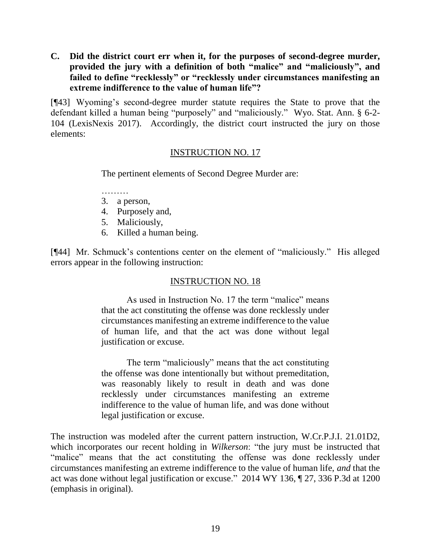**C. Did the district court err when it, for the purposes of second-degree murder, provided the jury with a definition of both "malice" and "maliciously", and failed to define "recklessly" or "recklessly under circumstances manifesting an extreme indifference to the value of human life"?**

[¶43] Wyoming's second-degree murder statute requires the State to prove that the defendant killed a human being "purposely" and "maliciously." Wyo. Stat. Ann. § 6-2- 104 (LexisNexis 2017). Accordingly, the district court instructed the jury on those elements:

# INSTRUCTION NO. 17

The pertinent elements of Second Degree Murder are:

- 3. a person,
- 4. Purposely and,
- 5. Maliciously,
- 6. Killed a human being.

[¶44] Mr. Schmuck's contentions center on the element of "maliciously." His alleged errors appear in the following instruction:

### INSTRUCTION NO. 18

As used in Instruction No. 17 the term "malice" means that the act constituting the offense was done recklessly under circumstances manifesting an extreme indifference to the value of human life, and that the act was done without legal justification or excuse.

The term "maliciously" means that the act constituting the offense was done intentionally but without premeditation, was reasonably likely to result in death and was done recklessly under circumstances manifesting an extreme indifference to the value of human life, and was done without legal justification or excuse.

The instruction was modeled after the current pattern instruction, W.Cr.P.J.I. 21.01D2, which incorporates our recent holding in *Wilkerson*: "the jury must be instructed that "malice" means that the act constituting the offense was done recklessly under circumstances manifesting an extreme indifference to the value of human life, *and* that the act was done without legal justification or excuse." 2014 WY 136, ¶ 27, 336 P.3d at 1200 (emphasis in original).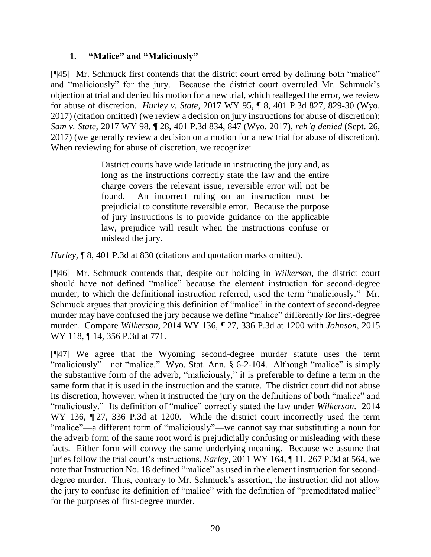# **1. "Malice" and "Maliciously"**

[¶45] Mr. Schmuck first contends that the district court erred by defining both "malice" and "maliciously" for the jury. Because the district court overruled Mr. Schmuck's objection at trial and denied his motion for a new trial, which realleged the error, we review for abuse of discretion. *Hurley v. State*, 2017 WY 95, ¶ 8, 401 P.3d 827, 829-30 (Wyo. 2017) (citation omitted) (we review a decision on jury instructions for abuse of discretion); *Sam v. State*, 2017 WY 98, ¶ 28, 401 P.3d 834, 847 (Wyo. 2017), *reh'g denied* (Sept. 26, 2017) (we generally review a decision on a motion for a new trial for abuse of discretion). When reviewing for abuse of discretion, we recognize:

> District courts have wide latitude in instructing the jury and, as long as the instructions correctly state the law and the entire charge covers the relevant issue, reversible error will not be found. An incorrect ruling on an instruction must be prejudicial to constitute reversible error. Because the purpose of jury instructions is to provide guidance on the applicable law, prejudice will result when the instructions confuse or mislead the jury.

*Hurley*, ¶ 8, 401 P.3d at 830 (citations and quotation marks omitted).

[¶46] Mr. Schmuck contends that, despite our holding in *Wilkerson*, the district court should have not defined "malice" because the element instruction for second-degree murder, to which the definitional instruction referred, used the term "maliciously." Mr. Schmuck argues that providing this definition of "malice" in the context of second-degree murder may have confused the jury because we define "malice" differently for first-degree murder. Compare *Wilkerson*, 2014 WY 136, ¶ 27, 336 P.3d at 1200 with *Johnson*, 2015 WY 118, ¶ 14, 356 P.3d at 771.

[¶47] We agree that the Wyoming second-degree murder statute uses the term "maliciously"—not "malice." Wyo. Stat. Ann. § 6-2-104. Although "malice" is simply the substantive form of the adverb, "maliciously," it is preferable to define a term in the same form that it is used in the instruction and the statute. The district court did not abuse its discretion, however, when it instructed the jury on the definitions of both "malice" and "maliciously." Its definition of "malice" correctly stated the law under *Wilkerson*. 2014 WY 136,  $\sqrt{27}$ , 336 P.3d at 1200. While the district court incorrectly used the term "malice"—a different form of "maliciously"—we cannot say that substituting a noun for the adverb form of the same root word is prejudicially confusing or misleading with these facts. Either form will convey the same underlying meaning. Because we assume that juries follow the trial court's instructions, *Earley*, 2011 WY 164, ¶ 11, 267 P.3d at 564, we note that Instruction No. 18 defined "malice" as used in the element instruction for seconddegree murder. Thus, contrary to Mr. Schmuck's assertion, the instruction did not allow the jury to confuse its definition of "malice" with the definition of "premeditated malice" for the purposes of first-degree murder.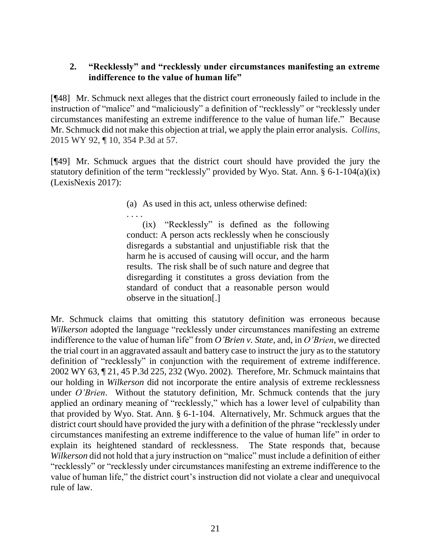# **2. "Recklessly" and "recklessly under circumstances manifesting an extreme indifference to the value of human life"**

[¶48] Mr. Schmuck next alleges that the district court erroneously failed to include in the instruction of "malice" and "maliciously" a definition of "recklessly" or "recklessly under circumstances manifesting an extreme indifference to the value of human life." Because Mr. Schmuck did not make this objection at trial, we apply the plain error analysis. *Collins*, 2015 WY 92, ¶ 10, 354 P.3d at 57.

[¶49] Mr. Schmuck argues that the district court should have provided the jury the statutory definition of the term "recklessly" provided by Wyo. Stat. Ann. § 6-1-104(a)(ix) (LexisNexis 2017):

(a) As used in this act, unless otherwise defined:

. . . . (ix) "Recklessly" is defined as the following conduct: A person acts recklessly when he consciously disregards a substantial and unjustifiable risk that the harm he is accused of causing will occur, and the harm results. The risk shall be of such nature and degree that disregarding it constitutes a gross deviation from the standard of conduct that a reasonable person would observe in the situation[.]

Mr. Schmuck claims that omitting this statutory definition was erroneous because *Wilkerson* adopted the language "recklessly under circumstances manifesting an extreme indifference to the value of human life" from *O'Brien v. State*, and, in *O'Brien*, we directed the trial court in an aggravated assault and battery case to instruct the jury as to the statutory definition of "recklessly" in conjunction with the requirement of extreme indifference. 2002 WY 63, ¶ 21, 45 P.3d 225, 232 (Wyo. 2002). Therefore, Mr. Schmuck maintains that our holding in *Wilkerson* did not incorporate the entire analysis of extreme recklessness under *O'Brien*. Without the statutory definition, Mr. Schmuck contends that the jury applied an ordinary meaning of "recklessly," which has a lower level of culpability than that provided by Wyo. Stat. Ann. § 6-1-104. Alternatively, Mr. Schmuck argues that the district court should have provided the jury with a definition of the phrase "recklessly under circumstances manifesting an extreme indifference to the value of human life" in order to explain its heightened standard of recklessness. The State responds that, because *Wilkerson* did not hold that a jury instruction on "malice" must include a definition of either "recklessly" or "recklessly under circumstances manifesting an extreme indifference to the value of human life," the district court's instruction did not violate a clear and unequivocal rule of law.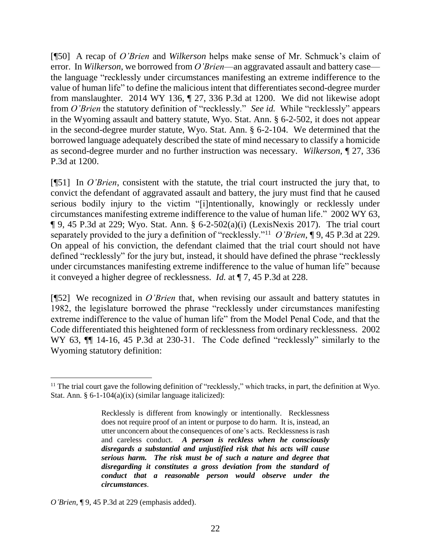[¶50] A recap of *O'Brien* and *Wilkerson* helps make sense of Mr. Schmuck's claim of error. In *Wilkerson*, we borrowed from *O'Brien*—an aggravated assault and battery case the language "recklessly under circumstances manifesting an extreme indifference to the value of human life" to define the malicious intent that differentiates second-degree murder from manslaughter. 2014 WY 136, ¶ 27, 336 P.3d at 1200. We did not likewise adopt from *O'Brien* the statutory definition of "recklessly." *See id.* While "recklessly" appears in the Wyoming assault and battery statute, Wyo. Stat. Ann. § 6-2-502, it does not appear in the second-degree murder statute, Wyo. Stat. Ann. § 6-2-104. We determined that the borrowed language adequately described the state of mind necessary to classify a homicide as second-degree murder and no further instruction was necessary. *Wilkerson*, ¶ 27, 336 P.3d at 1200.

[¶51] In *O'Brien*, consistent with the statute, the trial court instructed the jury that, to convict the defendant of aggravated assault and battery, the jury must find that he caused serious bodily injury to the victim "[i]ntentionally, knowingly or recklessly under circumstances manifesting extreme indifference to the value of human life." 2002 WY 63, ¶ 9, 45 P.3d at 229; Wyo. Stat. Ann. § 6-2-502(a)(i) (LexisNexis 2017). The trial court separately provided to the jury a definition of "recklessly."<sup>11</sup> *O'Brien*, ¶ 9, 45 P.3d at 229*.*  On appeal of his conviction, the defendant claimed that the trial court should not have defined "recklessly" for the jury but, instead, it should have defined the phrase "recklessly under circumstances manifesting extreme indifference to the value of human life" because it conveyed a higher degree of recklessness. *Id.* at ¶ 7, 45 P.3d at 228.

[¶52] We recognized in *O'Brien* that, when revising our assault and battery statutes in 1982, the legislature borrowed the phrase "recklessly under circumstances manifesting extreme indifference to the value of human life" from the Model Penal Code, and that the Code differentiated this heightened form of recklessness from ordinary recklessness. 2002 WY 63,  $\P$  14-16, 45 P.3d at 230-31. The Code defined "recklessly" similarly to the Wyoming statutory definition:

*O'Brien*, ¶ 9, 45 P.3d at 229 (emphasis added).

<sup>&</sup>lt;sup>11</sup> The trial court gave the following definition of "recklessly," which tracks, in part, the definition at Wyo. Stat. Ann. § 6-1-104(a)(ix) (similar language italicized):

Recklessly is different from knowingly or intentionally. Recklessness does not require proof of an intent or purpose to do harm. It is, instead, an utter unconcern about the consequences of one's acts. Recklessness is rash and careless conduct. *A person is reckless when he consciously disregards a substantial and unjustified risk that his acts will cause serious harm. The risk must be of such a nature and degree that disregarding it constitutes a gross deviation from the standard of conduct that a reasonable person would observe under the circumstances.*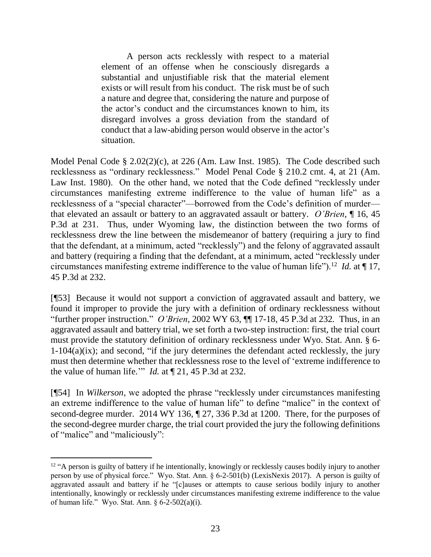A person acts recklessly with respect to a material element of an offense when he consciously disregards a substantial and unjustifiable risk that the material element exists or will result from his conduct. The risk must be of such a nature and degree that, considering the nature and purpose of the actor's conduct and the circumstances known to him, its disregard involves a gross deviation from the standard of conduct that a law-abiding person would observe in the actor's situation.

Model Penal Code § 2.02(2)(c), at 226 (Am. Law Inst. 1985). The Code described such recklessness as "ordinary recklessness." Model Penal Code § 210.2 cmt. 4, at 21 (Am. Law Inst. 1980). On the other hand, we noted that the Code defined "recklessly under circumstances manifesting extreme indifference to the value of human life" as a recklessness of a "special character"—borrowed from the Code's definition of murder that elevated an assault or battery to an aggravated assault or battery. *O'Brien*, ¶ 16, 45 P.3d at 231. Thus, under Wyoming law, the distinction between the two forms of recklessness drew the line between the misdemeanor of battery (requiring a jury to find that the defendant, at a minimum, acted "recklessly") and the felony of aggravated assault and battery (requiring a finding that the defendant, at a minimum, acted "recklessly under circumstances manifesting extreme indifference to the value of human life").<sup>12</sup> *Id.* at  $\P$  17, 45 P.3d at 232.

[¶53] Because it would not support a conviction of aggravated assault and battery, we found it improper to provide the jury with a definition of ordinary recklessness without "further proper instruction." *O'Brien*, 2002 WY 63, ¶¶ 17-18, 45 P.3d at 232*.* Thus, in an aggravated assault and battery trial, we set forth a two-step instruction: first, the trial court must provide the statutory definition of ordinary recklessness under Wyo. Stat. Ann. § 6-  $1-104(a)(ix)$ ; and second, "if the jury determines the defendant acted recklessly, the jury must then determine whether that recklessness rose to the level of 'extreme indifference to the value of human life.'" *Id.* at ¶ 21, 45 P.3d at 232.

[¶54] In *Wilkerson*, we adopted the phrase "recklessly under circumstances manifesting an extreme indifference to the value of human life" to define "malice" in the context of second-degree murder. 2014 WY 136, ¶ 27, 336 P.3d at 1200. There, for the purposes of the second-degree murder charge, the trial court provided the jury the following definitions of "malice" and "maliciously":

<sup>&</sup>lt;sup>12</sup> "A person is guilty of battery if he intentionally, knowingly or recklessly causes bodily injury to another person by use of physical force." Wyo. Stat. Ann. § 6-2-501(b) (LexisNexis 2017). A person is guilty of aggravated assault and battery if he "[c]auses or attempts to cause serious bodily injury to another intentionally, knowingly or recklessly under circumstances manifesting extreme indifference to the value of human life." Wyo. Stat. Ann. § 6-2-502(a)(i).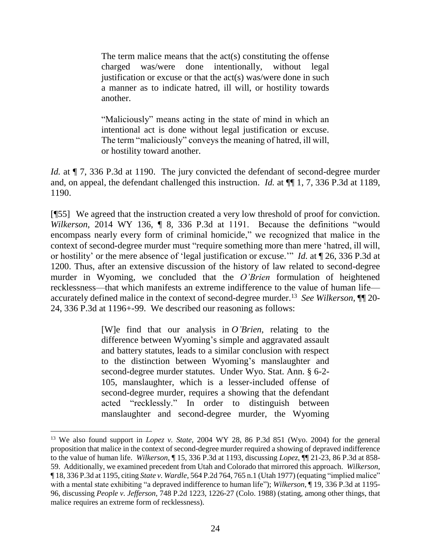The term malice means that the act(s) constituting the offense charged was/were done intentionally, without legal justification or excuse or that the act(s) was/were done in such a manner as to indicate hatred, ill will, or hostility towards another.

"Maliciously" means acting in the state of mind in which an intentional act is done without legal justification or excuse. The term "maliciously" conveys the meaning of hatred, ill will, or hostility toward another.

*Id.* at  $\P$  7, 336 P.3d at 1190. The jury convicted the defendant of second-degree murder and, on appeal, the defendant challenged this instruction. *Id.* at  $\P$ [1, 7, 336 P.3d at 1189, 1190.

[¶55] We agreed that the instruction created a very low threshold of proof for conviction. *Wilkerson*, 2014 WY 136, ¶ 8, 336 P.3d at 1191. Because the definitions "would encompass nearly every form of criminal homicide," we recognized that malice in the context of second-degree murder must "require something more than mere 'hatred, ill will, or hostility' or the mere absence of 'legal justification or excuse.'" *Id.* at ¶ 26, 336 P.3d at 1200. Thus, after an extensive discussion of the history of law related to second-degree murder in Wyoming, we concluded that the *O'Brien* formulation of heightened recklessness—that which manifests an extreme indifference to the value of human life accurately defined malice in the context of second-degree murder.<sup>13</sup> *See Wilkerson*, ¶¶ 20- 24, 336 P.3d at 1196+-99. We described our reasoning as follows:

> [W]e find that our analysis in *O'Brien*, relating to the difference between Wyoming's simple and aggravated assault and battery statutes, leads to a similar conclusion with respect to the distinction between Wyoming's manslaughter and second-degree murder statutes. Under Wyo. Stat. Ann. § 6-2- 105, manslaughter, which is a lesser-included offense of second-degree murder, requires a showing that the defendant acted "recklessly." In order to distinguish between manslaughter and second-degree murder, the Wyoming

<sup>13</sup> We also found support in *Lopez v. State*, 2004 WY 28, 86 P.3d 851 (Wyo. 2004) for the general proposition that malice in the context of second-degree murder required a showing of depraved indifference to the value of human life. *Wilkerson*, ¶ 15, 336 P.3d at 1193, discussing *Lopez*, ¶¶ 21-23, 86 P.3d at 858- 59. Additionally, we examined precedent from Utah and Colorado that mirrored this approach. *Wilkerson*, ¶ 18, 336 P.3d at 1195, citing *State v. Wardle*, 564 P.2d 764, 765 n.1 (Utah 1977) (equating "implied malice" with a mental state exhibiting "a depraved indifference to human life"); *Wilkerson*, ¶ 19, 336 P.3d at 1195- 96, discussing *People v. Jefferson*, 748 P.2d 1223, 1226-27 (Colo. 1988) (stating, among other things, that malice requires an extreme form of recklessness).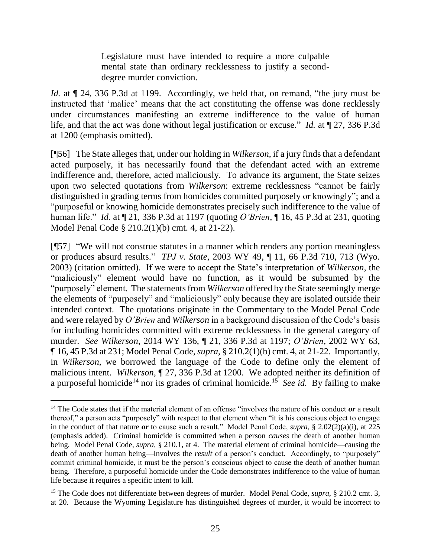Legislature must have intended to require a more culpable mental state than ordinary recklessness to justify a seconddegree murder conviction.

*Id.* at  $\P$  24, 336 P.3d at 1199. Accordingly, we held that, on remand, "the jury must be instructed that 'malice' means that the act constituting the offense was done recklessly under circumstances manifesting an extreme indifference to the value of human life, and that the act was done without legal justification or excuse." *Id.* at ¶ 27, 336 P.3d at 1200 (emphasis omitted).

[¶56] The State alleges that, under our holding in *Wilkerson*, if a jury finds that a defendant acted purposely, it has necessarily found that the defendant acted with an extreme indifference and, therefore, acted maliciously. To advance its argument, the State seizes upon two selected quotations from *Wilkerson*: extreme recklessness "cannot be fairly distinguished in grading terms from homicides committed purposely or knowingly"; and a "purposeful or knowing homicide demonstrates precisely such indifference to the value of human life." *Id.* at ¶ 21, 336 P.3d at 1197 (quoting *O'Brien*, ¶ 16, 45 P.3d at 231, quoting Model Penal Code § 210.2(1)(b) cmt. 4, at 21-22).

[¶57] "We will not construe statutes in a manner which renders any portion meaningless or produces absurd results." *TPJ v. State*, 2003 WY 49, ¶ 11, 66 P.3d 710, 713 (Wyo. 2003) (citation omitted). If we were to accept the State's interpretation of *Wilkerson*, the "maliciously" element would have no function, as it would be subsumed by the "purposely" element. The statements from *Wilkerson* offered by the State seemingly merge the elements of "purposely" and "maliciously" only because they are isolated outside their intended context. The quotations originate in the Commentary to the Model Penal Code and were relayed by *O'Brien* and *Wilkerson* in a background discussion of the Code's basis for including homicides committed with extreme recklessness in the general category of murder. *See Wilkerson*, 2014 WY 136, ¶ 21, 336 P.3d at 1197; *O'Brien*, 2002 WY 63, ¶ 16, 45 P.3d at 231; Model Penal Code, *supra*, § 210.2(1)(b) cmt. 4, at 21-22. Importantly, in *Wilkerson*, we borrowed the language of the Code to define only the element of malicious intent. *Wilkerson*, ¶ 27, 336 P.3d at 1200. We adopted neither its definition of a purposeful homicide<sup>14</sup> nor its grades of criminal homicide.<sup>15</sup> See id. By failing to make

<sup>&</sup>lt;sup>14</sup> The Code states that if the material element of an offense "involves the nature of his conduct *or* a result thereof," a person acts "purposely" with respect to that element when "it is his conscious object to engage in the conduct of that nature *or* to cause such a result." Model Penal Code, *supra*, § 2.02(2)(a)(i), at 225 (emphasis added). Criminal homicide is committed when a person *causes* the death of another human being. Model Penal Code, *supra*, § 210.1, at 4. The material element of criminal homicide—causing the death of another human being—involves the *result* of a person's conduct. Accordingly, to "purposely" commit criminal homicide, it must be the person's conscious object to cause the death of another human being. Therefore, a purposeful homicide under the Code demonstrates indifference to the value of human life because it requires a specific intent to kill.

<sup>15</sup> The Code does not differentiate between degrees of murder. Model Penal Code, *supra*, § 210.2 cmt. 3, at 20. Because the Wyoming Legislature has distinguished degrees of murder, it would be incorrect to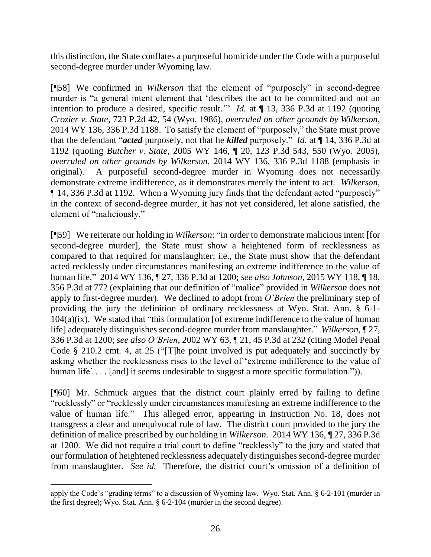this distinction, the State conflates a purposeful homicide under the Code with a purposeful second-degree murder under Wyoming law.

[¶58] We confirmed in *Wilkerson* that the element of "purposely" in second-degree murder is "a general intent element that 'describes the act to be committed and not an intention to produce a desired, specific result.'" *Id.* at ¶ 13, 336 P.3d at 1192 (quoting *Crozier v. State*, 723 P.2d 42, 54 (Wyo. 1986), *overruled on other grounds by Wilkerson*, 2014 WY 136, 336 P.3d 1188. To satisfy the element of "purposely," the State must prove that the defendant "*acted* purposely, not that he *killed* purposely." *Id.* at ¶ 14, 336 P.3d at 1192 (quoting *Butcher v. State*, 2005 WY 146, ¶ 20, 123 P.3d 543, 550 (Wyo. 2005), *overruled on other grounds by Wilkerson*, 2014 WY 136, 336 P.3d 1188 (emphasis in original). A purposeful second-degree murder in Wyoming does not necessarily demonstrate extreme indifference, as it demonstrates merely the intent to act. *Wilkerson*, ¶ 14, 336 P.3d at 1192. When a Wyoming jury finds that the defendant acted "purposely" in the context of second-degree murder, it has not yet considered, let alone satisfied, the element of "maliciously."

[¶59] We reiterate our holding in *Wilkerson*: "in order to demonstrate malicious intent [for second-degree murder], the State must show a heightened form of recklessness as compared to that required for manslaughter; i.e., the State must show that the defendant acted recklessly under circumstances manifesting an extreme indifference to the value of human life." 2014 WY 136, ¶ 27, 336 P.3d at 1200; *see also Johnson*, 2015 WY 118, ¶ 18, 356 P.3d at 772 (explaining that our definition of "malice" provided in *Wilkerson* does not apply to first-degree murder). We declined to adopt from *O'Brien* the preliminary step of providing the jury the definition of ordinary recklessness at Wyo. Stat. Ann. § 6-1-  $104(a)(ix)$ . We stated that "this formulation [of extreme indifference to the value of human life] adequately distinguishes second-degree murder from manslaughter." *Wilkerson*, ¶ 27, 336 P.3d at 1200; *see also O'Brien*, 2002 WY 63, ¶ 21, 45 P.3d at 232 (citing Model Penal Code § 210.2 cmt. 4, at 25 ("[T]he point involved is put adequately and succinctly by asking whether the recklessness rises to the level of 'extreme indifference to the value of human life'... [and] it seems undesirable to suggest a more specific formulation.")).

[¶60] Mr. Schmuck argues that the district court plainly erred by failing to define "recklessly" or "recklessly under circumstances manifesting an extreme indifference to the value of human life." This alleged error, appearing in Instruction No. 18, does not transgress a clear and unequivocal rule of law. The district court provided to the jury the definition of malice prescribed by our holding in *Wilkerson*. 2014 WY 136, ¶ 27, 336 P.3d at 1200. We did not require a trial court to define "recklessly" to the jury and stated that our formulation of heightened recklessness adequately distinguishes second-degree murder from manslaughter. *See id.* Therefore, the district court's omission of a definition of

apply the Code's "grading terms" to a discussion of Wyoming law. Wyo. Stat. Ann. § 6-2-101 (murder in the first degree); Wyo. Stat. Ann. § 6-2-104 (murder in the second degree).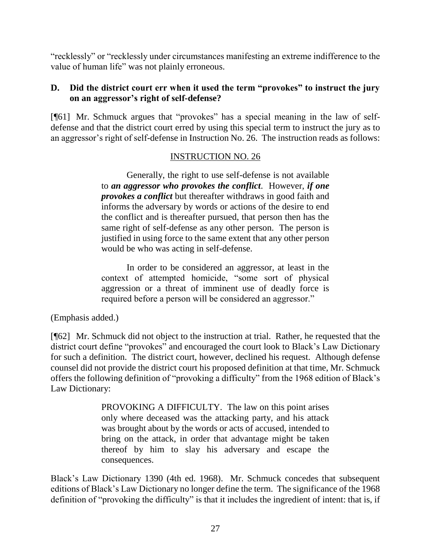"recklessly" or "recklessly under circumstances manifesting an extreme indifference to the value of human life" was not plainly erroneous.

# **D. Did the district court err when it used the term "provokes" to instruct the jury on an aggressor's right of self-defense?**

[¶61] Mr. Schmuck argues that "provokes" has a special meaning in the law of selfdefense and that the district court erred by using this special term to instruct the jury as to an aggressor's right of self-defense in Instruction No. 26. The instruction reads as follows:

# INSTRUCTION NO. 26

Generally, the right to use self-defense is not available to *an aggressor who provokes the conflict*. However, *if one provokes a conflict* but thereafter withdraws in good faith and informs the adversary by words or actions of the desire to end the conflict and is thereafter pursued, that person then has the same right of self-defense as any other person. The person is justified in using force to the same extent that any other person would be who was acting in self-defense.

In order to be considered an aggressor, at least in the context of attempted homicide, "some sort of physical aggression or a threat of imminent use of deadly force is required before a person will be considered an aggressor."

(Emphasis added.)

[¶62] Mr. Schmuck did not object to the instruction at trial. Rather, he requested that the district court define "provokes" and encouraged the court look to Black's Law Dictionary for such a definition. The district court, however, declined his request. Although defense counsel did not provide the district court his proposed definition at that time, Mr. Schmuck offers the following definition of "provoking a difficulty" from the 1968 edition of Black's Law Dictionary:

> PROVOKING A DIFFICULTY. The law on this point arises only where deceased was the attacking party, and his attack was brought about by the words or acts of accused, intended to bring on the attack, in order that advantage might be taken thereof by him to slay his adversary and escape the consequences.

Black's Law Dictionary 1390 (4th ed. 1968). Mr. Schmuck concedes that subsequent editions of Black's Law Dictionary no longer define the term. The significance of the 1968 definition of "provoking the difficulty" is that it includes the ingredient of intent: that is, if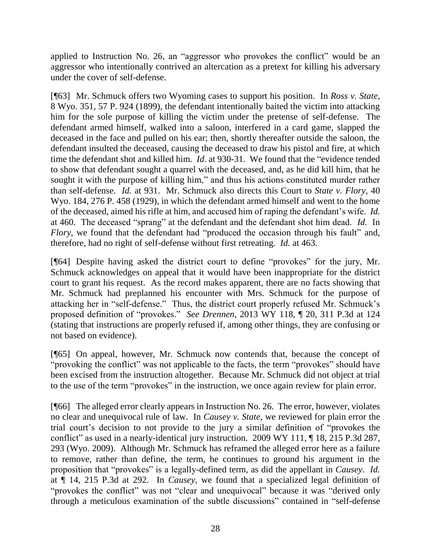applied to Instruction No. 26, an "aggressor who provokes the conflict" would be an aggressor who intentionally contrived an altercation as a pretext for killing his adversary under the cover of self-defense.

[¶63] Mr. Schmuck offers two Wyoming cases to support his position. In *Ross v. State*, 8 Wyo. 351, 57 P. 924 (1899), the defendant intentionally baited the victim into attacking him for the sole purpose of killing the victim under the pretense of self-defense. The defendant armed himself, walked into a saloon, interfered in a card game, slapped the deceased in the face and pulled on his ear; then, shortly thereafter outside the saloon, the defendant insulted the deceased, causing the deceased to draw his pistol and fire, at which time the defendant shot and killed him. *Id.* at 930-31. We found that the "evidence tended to show that defendant sought a quarrel with the deceased, and, as he did kill him, that he sought it with the purpose of killing him," and thus his actions constituted murder rather than self-defense. *Id.* at 931.Mr. Schmuck also directs this Court to *State v. Flory*, 40 Wyo. 184, 276 P. 458 (1929), in which the defendant armed himself and went to the home of the deceased, aimed his rifle at him, and accused him of raping the defendant's wife. *Id.*  at 460. The deceased "sprang" at the defendant and the defendant shot him dead. *Id.* In *Flory*, we found that the defendant had "produced the occasion through his fault" and, therefore, had no right of self-defense without first retreating. *Id.* at 463.

[¶64] Despite having asked the district court to define "provokes" for the jury, Mr. Schmuck acknowledges on appeal that it would have been inappropriate for the district court to grant his request. As the record makes apparent, there are no facts showing that Mr. Schmuck had preplanned his encounter with Mrs. Schmuck for the purpose of attacking her in "self-defense." Thus, the district court properly refused Mr. Schmuck's proposed definition of "provokes." *See Drennen*, 2013 WY 118, ¶ 20, 311 P.3d at 124 (stating that instructions are properly refused if, among other things, they are confusing or not based on evidence).

[¶65] On appeal, however, Mr. Schmuck now contends that, because the concept of "provoking the conflict" was not applicable to the facts, the term "provokes" should have been excised from the instruction altogether. Because Mr. Schmuck did not object at trial to the use of the term "provokes" in the instruction, we once again review for plain error.

[¶66] The alleged error clearly appears in Instruction No. 26. The error, however, violates no clear and unequivocal rule of law. In *Causey v. State*, we reviewed for plain error the trial court's decision to not provide to the jury a similar definition of "provokes the conflict" as used in a nearly-identical jury instruction. 2009 WY 111, ¶ 18, 215 P.3d 287, 293 (Wyo. 2009). Although Mr. Schmuck has reframed the alleged error here as a failure to remove, rather than define, the term, he continues to ground his argument in the proposition that "provokes" is a legally-defined term, as did the appellant in *Causey*. *Id.*  at ¶ 14, 215 P.3d at 292. In *Causey*, we found that a specialized legal definition of "provokes the conflict" was not "clear and unequivocal" because it was "derived only through a meticulous examination of the subtle discussions" contained in "self-defense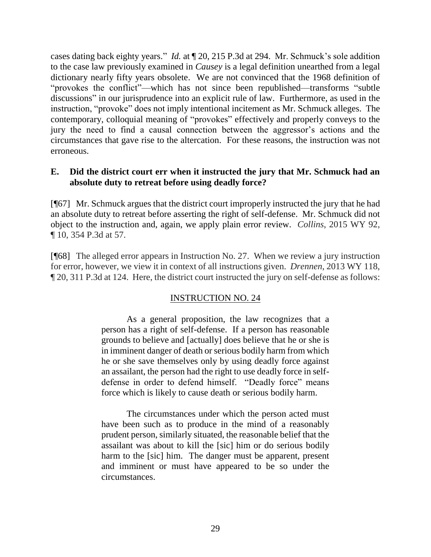cases dating back eighty years." *Id.* at ¶ 20, 215 P.3d at 294. Mr. Schmuck's sole addition to the case law previously examined in *Causey* is a legal definition unearthed from a legal dictionary nearly fifty years obsolete. We are not convinced that the 1968 definition of "provokes the conflict"—which has not since been republished—transforms "subtle discussions" in our jurisprudence into an explicit rule of law. Furthermore, as used in the instruction, "provoke" does not imply intentional incitement as Mr. Schmuck alleges. The contemporary, colloquial meaning of "provokes" effectively and properly conveys to the jury the need to find a causal connection between the aggressor's actions and the circumstances that gave rise to the altercation. For these reasons, the instruction was not erroneous.

## **E. Did the district court err when it instructed the jury that Mr. Schmuck had an absolute duty to retreat before using deadly force?**

[¶67] Mr. Schmuck argues that the district court improperly instructed the jury that he had an absolute duty to retreat before asserting the right of self-defense. Mr. Schmuck did not object to the instruction and, again, we apply plain error review. *Collins*, 2015 WY 92, ¶ 10, 354 P.3d at 57.

[¶68] The alleged error appears in Instruction No. 27. When we review a jury instruction for error, however, we view it in context of all instructions given. *Drennen*, 2013 WY 118, ¶ 20, 311 P.3d at 124. Here, the district court instructed the jury on self-defense as follows:

# INSTRUCTION NO. 24

As a general proposition, the law recognizes that a person has a right of self-defense. If a person has reasonable grounds to believe and [actually] does believe that he or she is in imminent danger of death or serious bodily harm from which he or she save themselves only by using deadly force against an assailant, the person had the right to use deadly force in selfdefense in order to defend himself. "Deadly force" means force which is likely to cause death or serious bodily harm.

The circumstances under which the person acted must have been such as to produce in the mind of a reasonably prudent person, similarly situated, the reasonable belief that the assailant was about to kill the [sic] him or do serious bodily harm to the [sic] him. The danger must be apparent, present and imminent or must have appeared to be so under the circumstances.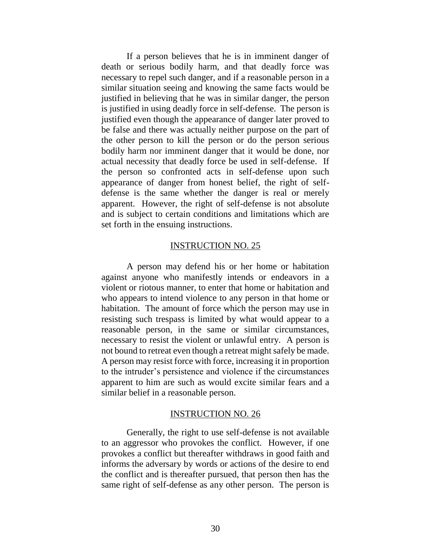If a person believes that he is in imminent danger of death or serious bodily harm, and that deadly force was necessary to repel such danger, and if a reasonable person in a similar situation seeing and knowing the same facts would be justified in believing that he was in similar danger, the person is justified in using deadly force in self-defense. The person is justified even though the appearance of danger later proved to be false and there was actually neither purpose on the part of the other person to kill the person or do the person serious bodily harm nor imminent danger that it would be done, nor actual necessity that deadly force be used in self-defense. If the person so confronted acts in self-defense upon such appearance of danger from honest belief, the right of selfdefense is the same whether the danger is real or merely apparent. However, the right of self-defense is not absolute and is subject to certain conditions and limitations which are set forth in the ensuing instructions.

#### INSTRUCTION NO. 25

A person may defend his or her home or habitation against anyone who manifestly intends or endeavors in a violent or riotous manner, to enter that home or habitation and who appears to intend violence to any person in that home or habitation. The amount of force which the person may use in resisting such trespass is limited by what would appear to a reasonable person, in the same or similar circumstances, necessary to resist the violent or unlawful entry. A person is not bound to retreat even though a retreat might safely be made. A person may resist force with force, increasing it in proportion to the intruder's persistence and violence if the circumstances apparent to him are such as would excite similar fears and a similar belief in a reasonable person.

#### INSTRUCTION NO. 26

Generally, the right to use self-defense is not available to an aggressor who provokes the conflict. However, if one provokes a conflict but thereafter withdraws in good faith and informs the adversary by words or actions of the desire to end the conflict and is thereafter pursued, that person then has the same right of self-defense as any other person. The person is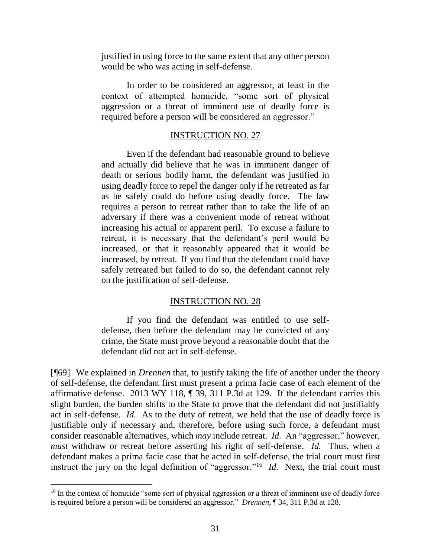justified in using force to the same extent that any other person would be who was acting in self-defense.

In order to be considered an aggressor, at least in the context of attempted homicide, "some sort of physical aggression or a threat of imminent use of deadly force is required before a person will be considered an aggressor."

### INSTRUCTION NO. 27

Even if the defendant had reasonable ground to believe and actually did believe that he was in imminent danger of death or serious bodily harm, the defendant was justified in using deadly force to repel the danger only if he retreated as far as he safely could do before using deadly force. The law requires a person to retreat rather than to take the life of an adversary if there was a convenient mode of retreat without increasing his actual or apparent peril. To excuse a failure to retreat, it is necessary that the defendant's peril would be increased, or that it reasonably appeared that it would be increased, by retreat. If you find that the defendant could have safely retreated but failed to do so, the defendant cannot rely on the justification of self-defense.

### INSTRUCTION NO. 28

If you find the defendant was entitled to use selfdefense, then before the defendant may be convicted of any crime, the State must prove beyond a reasonable doubt that the defendant did not act in self-defense.

[¶69] We explained in *Drennen* that, to justify taking the life of another under the theory of self-defense, the defendant first must present a prima facie case of each element of the affirmative defense. 2013 WY 118, ¶ 39, 311 P.3d at 129. If the defendant carries this slight burden, the burden shifts to the State to prove that the defendant did not justifiably act in self-defense. *Id.* As to the duty of retreat, we held that the use of deadly force is justifiable only if necessary and, therefore, before using such force, a defendant must consider reasonable alternatives, which *may* include retreat. *Id.* An "aggressor," however, *must* withdraw or retreat before asserting his right of self-defense. *Id.* Thus, when a defendant makes a prima facie case that he acted in self-defense, the trial court must first instruct the jury on the legal definition of "aggressor."<sup>16</sup> *Id.* Next, the trial court must

<sup>&</sup>lt;sup>16</sup> In the context of homicide "some sort of physical aggression or a threat of imminent use of deadly force is required before a person will be considered an aggressor." *Drennen*, ¶ 34, 311 P.3d at 128.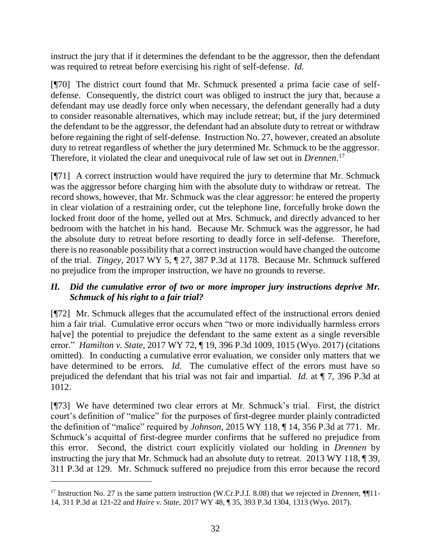instruct the jury that if it determines the defendant to be the aggressor, then the defendant was required to retreat before exercising his right of self-defense. *Id.*

[¶70] The district court found that Mr. Schmuck presented a prima facie case of selfdefense. Consequently, the district court was obliged to instruct the jury that, because a defendant may use deadly force only when necessary, the defendant generally had a duty to consider reasonable alternatives, which may include retreat; but, if the jury determined the defendant to be the aggressor, the defendant had an absolute duty to retreat or withdraw before regaining the right of self-defense. Instruction No. 27, however, created an absolute duty to retreat regardless of whether the jury determined Mr. Schmuck to be the aggressor. Therefore, it violated the clear and unequivocal rule of law set out in *Drennen*. 17

[¶71] A correct instruction would have required the jury to determine that Mr. Schmuck was the aggressor before charging him with the absolute duty to withdraw or retreat. The record shows, however, that Mr. Schmuck was the clear aggressor: he entered the property in clear violation of a restraining order, cut the telephone line, forcefully broke down the locked front door of the home, yelled out at Mrs. Schmuck, and directly advanced to her bedroom with the hatchet in his hand. Because Mr. Schmuck was the aggressor, he had the absolute duty to retreat before resorting to deadly force in self-defense. Therefore, there is no reasonable possibility that a correct instruction would have changed the outcome of the trial. *Tingey*, 2017 WY 5, ¶ 27, 387 P.3d at 1178. Because Mr. Schmuck suffered no prejudice from the improper instruction, we have no grounds to reverse.

# *II. Did the cumulative error of two or more improper jury instructions deprive Mr. Schmuck of his right to a fair trial?*

[¶72] Mr. Schmuck alleges that the accumulated effect of the instructional errors denied him a fair trial. Cumulative error occurs when "two or more individually harmless errors ha<sup>[ve]</sup> the potential to prejudice the defendant to the same extent as a single reversible error." *Hamilton v. State*, 2017 WY 72, ¶ 19, 396 P.3d 1009, 1015 (Wyo. 2017) (citations omitted). In conducting a cumulative error evaluation, we consider only matters that we have determined to be errors. *Id.* The cumulative effect of the errors must have so prejudiced the defendant that his trial was not fair and impartial. *Id.* at ¶ 7, 396 P.3d at 1012.

[¶73] We have determined two clear errors at Mr. Schmuck's trial. First, the district court's definition of "malice" for the purposes of first-degree murder plainly contradicted the definition of "malice" required by *Johnson*, 2015 WY 118, ¶ 14, 356 P.3d at 771. Mr. Schmuck's acquittal of first-degree murder confirms that he suffered no prejudice from this error. Second, the district court explicitly violated our holding in *Drennen* by instructing the jury that Mr. Schmuck had an absolute duty to retreat. 2013 WY 118, ¶ 39, 311 P.3d at 129. Mr. Schmuck suffered no prejudice from this error because the record

<sup>17</sup> Instruction No. 27 is the same pattern instruction (W.Cr.P.J.I. 8.08) that we rejected in *Drennen*, ¶¶11- 14, 311 P.3d at 121-22 and *Haire v. State*, 2017 WY 48, ¶ 35, 393 P.3d 1304, 1313 (Wyo. 2017).